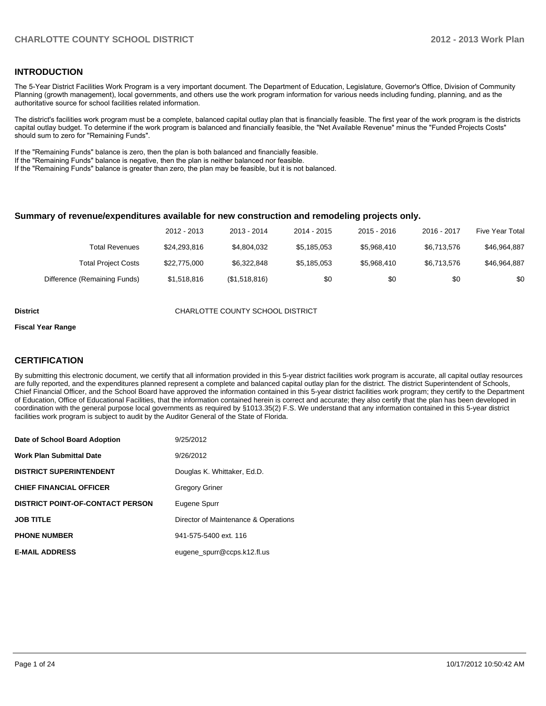### **INTRODUCTION**

The 5-Year District Facilities Work Program is a very important document. The Department of Education, Legislature, Governor's Office, Division of Community Planning (growth management), local governments, and others use the work program information for various needs including funding, planning, and as the authoritative source for school facilities related information.

The district's facilities work program must be a complete, balanced capital outlay plan that is financially feasible. The first year of the work program is the districts capital outlay budget. To determine if the work program is balanced and financially feasible, the "Net Available Revenue" minus the "Funded Projects Costs" should sum to zero for "Remaining Funds".

If the "Remaining Funds" balance is zero, then the plan is both balanced and financially feasible.

If the "Remaining Funds" balance is negative, then the plan is neither balanced nor feasible.

If the "Remaining Funds" balance is greater than zero, the plan may be feasible, but it is not balanced.

#### **Summary of revenue/expenditures available for new construction and remodeling projects only.**

| 2012 - 2013<br>2013 - 2014                                   | 2014 - 2015 | $2015 - 2016$ | 2016 - 2017 | Five Year Total |
|--------------------------------------------------------------|-------------|---------------|-------------|-----------------|
| \$4.804.032<br>\$24.293.816<br>Total Revenues                | \$5,185,053 | \$5.968.410   | \$6.713.576 | \$46,964,887    |
| \$22.775.000<br>\$6.322.848<br><b>Total Project Costs</b>    | \$5.185.053 | \$5.968.410   | \$6.713.576 | \$46,964,887    |
| \$1,518,816<br>(\$1,518,816)<br>Difference (Remaining Funds) | \$0         | \$0           | \$0         | \$0             |

#### **District CHARLOTTE COUNTY SCHOOL DISTRICT**

#### **Fiscal Year Range**

### **CERTIFICATION**

By submitting this electronic document, we certify that all information provided in this 5-year district facilities work program is accurate, all capital outlay resources are fully reported, and the expenditures planned represent a complete and balanced capital outlay plan for the district. The district Superintendent of Schools, Chief Financial Officer, and the School Board have approved the information contained in this 5-year district facilities work program; they certify to the Department of Education, Office of Educational Facilities, that the information contained herein is correct and accurate; they also certify that the plan has been developed in coordination with the general purpose local governments as required by §1013.35(2) F.S. We understand that any information contained in this 5-year district facilities work program is subject to audit by the Auditor General of the State of Florida.

| Date of School Board Adoption           | 9/25/2012                            |
|-----------------------------------------|--------------------------------------|
| <b>Work Plan Submittal Date</b>         | 9/26/2012                            |
| <b>DISTRICT SUPERINTENDENT</b>          | Douglas K. Whittaker, Ed.D.          |
| <b>CHIEF FINANCIAL OFFICER</b>          | <b>Gregory Griner</b>                |
| <b>DISTRICT POINT-OF-CONTACT PERSON</b> | Eugene Spurr                         |
| <b>JOB TITLE</b>                        | Director of Maintenance & Operations |
| <b>PHONE NUMBER</b>                     | 941-575-5400 ext. 116                |
| <b>E-MAIL ADDRESS</b>                   | eugene spurr@ccps.k12.fl.us          |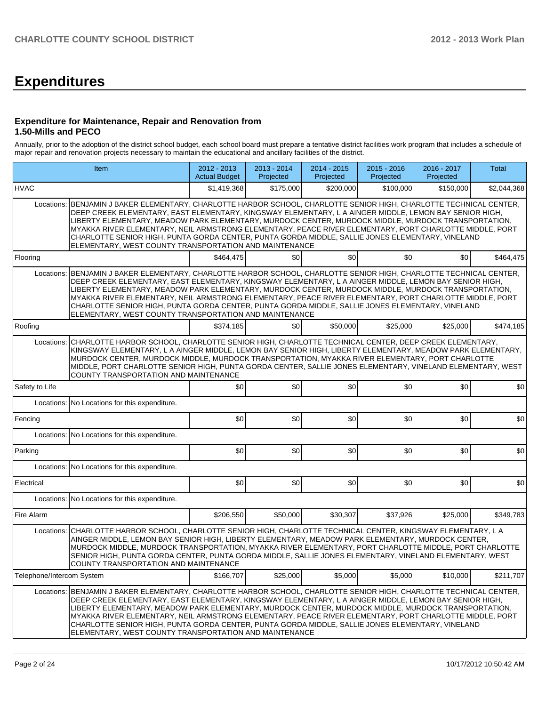# **Expenditures**

#### **Expenditure for Maintenance, Repair and Renovation from 1.50-Mills and PECO**

Annually, prior to the adoption of the district school budget, each school board must prepare a tentative district facilities work program that includes a schedule of major repair and renovation projects necessary to maintain the educational and ancillary facilities of the district.

|                           | Item                                                                                                                                                                                                                                                                                                                                                                                                                                                                                                                                                                                                          |             | 2013 - 2014<br>Projected | 2014 - 2015<br>Projected | 2015 - 2016<br>Projected | 2016 - 2017<br>Projected | Total       |
|---------------------------|---------------------------------------------------------------------------------------------------------------------------------------------------------------------------------------------------------------------------------------------------------------------------------------------------------------------------------------------------------------------------------------------------------------------------------------------------------------------------------------------------------------------------------------------------------------------------------------------------------------|-------------|--------------------------|--------------------------|--------------------------|--------------------------|-------------|
| <b>HVAC</b>               |                                                                                                                                                                                                                                                                                                                                                                                                                                                                                                                                                                                                               | \$1,419,368 | \$175,000                | \$200,000                | \$100,000                | \$150,000                | \$2,044,368 |
| Locations:                | BENJAMIN J BAKER ELEMENTARY, CHARLOTTE HARBOR SCHOOL, CHARLOTTE SENIOR HIGH, CHARLOTTE TECHNICAL CENTER,<br>DEEP CREEK ELEMENTARY, EAST ELEMENTARY, KINGSWAY ELEMENTARY, L A AINGER MIDDLE, LEMON BAY SENIOR HIGH,<br>LIBERTY ELEMENTARY, MEADOW PARK ELEMENTARY, MURDOCK CENTER, MURDOCK MIDDLE, MURDOCK TRANSPORTATION,<br>MYAKKA RIVER ELEMENTARY, NEIL ARMSTRONG ELEMENTARY, PEACE RIVER ELEMENTARY, PORT CHARLOTTE MIDDLE, PORT<br>CHARLOTTE SENIOR HIGH, PUNTA GORDA CENTER, PUNTA GORDA MIDDLE, SALLIE JONES ELEMENTARY, VINELAND                                                                      |             |                          |                          |                          |                          |             |
| Flooring                  |                                                                                                                                                                                                                                                                                                                                                                                                                                                                                                                                                                                                               | \$464,475   | \$0 <sub>0</sub>         | \$0                      | \$0                      | \$0                      | \$464,475   |
| Locations:                | BENJAMIN J BAKER ELEMENTARY, CHARLOTTE HARBOR SCHOOL, CHARLOTTE SENIOR HIGH, CHARLOTTE TECHNICAL CENTER,<br>DEEP CREEK ELEMENTARY, EAST ELEMENTARY, KINGSWAY ELEMENTARY, L A AINGER MIDDLE, LEMON BAY SENIOR HIGH,<br>LIBERTY ELEMENTARY, MEADOW PARK ELEMENTARY, MURDOCK CENTER, MURDOCK MIDDLE, MURDOCK TRANSPORTATION,<br>MYAKKA RIVER ELEMENTARY, NEIL ARMSTRONG ELEMENTARY, PEACE RIVER ELEMENTARY, PORT CHARLOTTE MIDDLE, PORT<br>CHARLOTTE SENIOR HIGH, PUNTA GORDA CENTER, PUNTA GORDA MIDDLE, SALLIE JONES ELEMENTARY, VINELAND<br>ELEMENTARY, WEST COUNTY TRANSPORTATION AND MAINTENANCE            |             |                          |                          |                          |                          |             |
| Roofing                   |                                                                                                                                                                                                                                                                                                                                                                                                                                                                                                                                                                                                               | \$374,185   | \$0                      | \$50,000                 | \$25,000                 | \$25,000                 | \$474,185   |
| Locations:                | CHARLOTTE HARBOR SCHOOL, CHARLOTTE SENIOR HIGH, CHARLOTTE TECHNICAL CENTER, DEEP CREEK ELEMENTARY,<br>KINGSWAY ELEMENTARY, L A AINGER MIDDLE, LEMON BAY SENIOR HIGH, LIBERTY ELEMENTARY, MEADOW PARK ELEMENTARY,<br>MURDOCK CENTER, MURDOCK MIDDLE, MURDOCK TRANSPORTATION, MYAKKA RIVER ELEMENTARY, PORT CHARLOTTE<br>MIDDLE, PORT CHARLOTTE SENIOR HIGH, PUNTA GORDA CENTER, SALLIE JONES ELEMENTARY, VINELAND ELEMENTARY, WEST<br><b>COUNTY TRANSPORTATION AND MAINTENANCE</b>                                                                                                                             |             |                          |                          |                          |                          |             |
| Safety to Life            |                                                                                                                                                                                                                                                                                                                                                                                                                                                                                                                                                                                                               | \$0         | \$0                      | \$0                      | \$0                      | \$0                      | \$0         |
|                           | Locations: No Locations for this expenditure.                                                                                                                                                                                                                                                                                                                                                                                                                                                                                                                                                                 |             |                          |                          |                          |                          |             |
| Fencing                   |                                                                                                                                                                                                                                                                                                                                                                                                                                                                                                                                                                                                               | \$0         | \$0                      | \$0                      | \$0                      | \$0                      | \$0         |
|                           | Locations: No Locations for this expenditure.                                                                                                                                                                                                                                                                                                                                                                                                                                                                                                                                                                 |             |                          |                          |                          |                          |             |
| Parking                   |                                                                                                                                                                                                                                                                                                                                                                                                                                                                                                                                                                                                               | \$0         | \$0                      | \$0                      | \$0                      | \$0                      | \$0         |
|                           | Locations: No Locations for this expenditure.                                                                                                                                                                                                                                                                                                                                                                                                                                                                                                                                                                 |             |                          |                          |                          |                          |             |
| Electrical                |                                                                                                                                                                                                                                                                                                                                                                                                                                                                                                                                                                                                               | \$0         | \$0                      | \$0                      | \$0                      | \$0                      | \$0         |
|                           | Locations: No Locations for this expenditure.                                                                                                                                                                                                                                                                                                                                                                                                                                                                                                                                                                 |             |                          |                          |                          |                          |             |
| Fire Alarm                |                                                                                                                                                                                                                                                                                                                                                                                                                                                                                                                                                                                                               | \$206,550   | \$50,000                 | \$30,307                 | \$37,926                 | \$25,000                 | \$349,783   |
| Locations:                | CHARLOTTE HARBOR SCHOOL, CHARLOTTE SENIOR HIGH, CHARLOTTE TECHNICAL CENTER, KINGSWAY ELEMENTARY, L A<br>AINGER MIDDLE, LEMON BAY SENIOR HIGH, LIBERTY ELEMENTARY, MEADOW PARK ELEMENTARY, MURDOCK CENTER,<br>MURDOCK MIDDLE, MURDOCK TRANSPORTATION, MYAKKA RIVER ELEMENTARY, PORT CHARLOTTE MIDDLE, PORT CHARLOTTE<br>SENIOR HIGH, PUNTA GORDA CENTER, PUNTA GORDA MIDDLE, SALLIE JONES ELEMENTARY, VINELAND ELEMENTARY, WEST<br>COUNTY TRANSPORTATION AND MAINTENANCE                                                                                                                                       |             |                          |                          |                          |                          |             |
| Telephone/Intercom System |                                                                                                                                                                                                                                                                                                                                                                                                                                                                                                                                                                                                               | \$166,707   | \$25,000                 | \$5,000                  | \$5,000                  | \$10,000                 | \$211,707   |
|                           | Locations: BENJAMIN J BAKER ELEMENTARY, CHARLOTTE HARBOR SCHOOL, CHARLOTTE SENIOR HIGH, CHARLOTTE TECHNICAL CENTER,<br>DEEP CREEK ELEMENTARY, EAST ELEMENTARY, KINGSWAY ELEMENTARY, L A AINGER MIDDLE, LEMON BAY SENIOR HIGH,<br>LIBERTY ELEMENTARY, MEADOW PARK ELEMENTARY, MURDOCK CENTER, MURDOCK MIDDLE, MURDOCK TRANSPORTATION,<br>MYAKKA RIVER ELEMENTARY, NEIL ARMSTRONG ELEMENTARY, PEACE RIVER ELEMENTARY, PORT CHARLOTTE MIDDLE, PORT<br>CHARLOTTE SENIOR HIGH, PUNTA GORDA CENTER, PUNTA GORDA MIDDLE, SALLIE JONES ELEMENTARY, VINELAND<br>ELEMENTARY, WEST COUNTY TRANSPORTATION AND MAINTENANCE |             |                          |                          |                          |                          |             |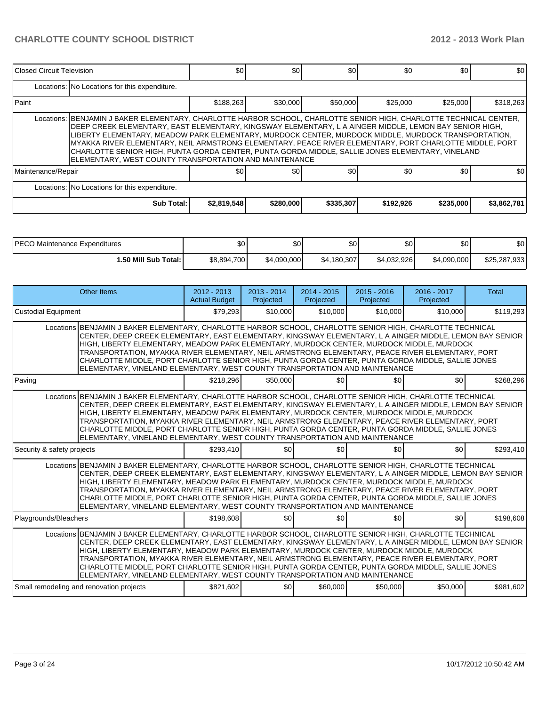| Closed Circuit Television |                                                                                                                                                                                                                                                                                                                                                                                                                                                                                                                                                                                                               | \$0         | \$0       | \$0       | \$0       | \$0       | \$0         |  |  |  |  |
|---------------------------|---------------------------------------------------------------------------------------------------------------------------------------------------------------------------------------------------------------------------------------------------------------------------------------------------------------------------------------------------------------------------------------------------------------------------------------------------------------------------------------------------------------------------------------------------------------------------------------------------------------|-------------|-----------|-----------|-----------|-----------|-------------|--|--|--|--|
|                           | Locations: No Locations for this expenditure.                                                                                                                                                                                                                                                                                                                                                                                                                                                                                                                                                                 |             |           |           |           |           |             |  |  |  |  |
| l Paint                   |                                                                                                                                                                                                                                                                                                                                                                                                                                                                                                                                                                                                               | \$188,263   | \$30,000  | \$50,000  | \$25,000  | \$25,000  | \$318,263   |  |  |  |  |
|                           | Locations: BENJAMIN J BAKER ELEMENTARY, CHARLOTTE HARBOR SCHOOL, CHARLOTTE SENIOR HIGH, CHARLOTTE TECHNICAL CENTER,<br>DEEP CREEK ELEMENTARY, EAST ELEMENTARY, KINGSWAY ELEMENTARY, L A AINGER MIDDLE, LEMON BAY SENIOR HIGH,<br>LIBERTY ELEMENTARY, MEADOW PARK ELEMENTARY, MURDOCK CENTER, MURDOCK MIDDLE, MURDOCK TRANSPORTATION,<br>MYAKKA RIVER ELEMENTARY, NEIL ARMSTRONG ELEMENTARY, PEACE RIVER ELEMENTARY, PORT CHARLOTTE MIDDLE, PORT<br>CHARLOTTE SENIOR HIGH, PUNTA GORDA CENTER, PUNTA GORDA MIDDLE, SALLIE JONES ELEMENTARY, VINELAND<br>ELEMENTARY, WEST COUNTY TRANSPORTATION AND MAINTENANCE |             |           |           |           |           |             |  |  |  |  |
| Maintenance/Repair        |                                                                                                                                                                                                                                                                                                                                                                                                                                                                                                                                                                                                               | \$0         | <b>SO</b> | \$0       | \$0       | \$0       | \$0         |  |  |  |  |
|                           | Locations: No Locations for this expenditure.                                                                                                                                                                                                                                                                                                                                                                                                                                                                                                                                                                 |             |           |           |           |           |             |  |  |  |  |
|                           | Sub Total:                                                                                                                                                                                                                                                                                                                                                                                                                                                                                                                                                                                                    | \$2,819,548 | \$280,000 | \$335,307 | \$192,926 | \$235,000 | \$3,862,781 |  |  |  |  |

| <b>IPECO</b><br>) Maintenance Expenditures | \$0         | \$0         | \$0         | \$0         | ድስ<br>Ψ     | \$0          |
|--------------------------------------------|-------------|-------------|-------------|-------------|-------------|--------------|
| <b>1.50 Mill Sub Total: I</b>              | \$8,894,700 | \$4,090,000 | \$4,180,307 | \$4.032.926 | \$4,090,000 | \$25,287,933 |

| <b>Other Items</b>                                                                                                                                                                                                                                                                                                                                                                                                                                                                                                                                                                                           | $2012 - 2013$<br><b>Actual Budget</b> | $2013 - 2014$<br>Projected | $2014 - 2015$<br>Projected | $2015 - 2016$<br>Projected | $2016 - 2017$<br>Projected | <b>Total</b> |
|--------------------------------------------------------------------------------------------------------------------------------------------------------------------------------------------------------------------------------------------------------------------------------------------------------------------------------------------------------------------------------------------------------------------------------------------------------------------------------------------------------------------------------------------------------------------------------------------------------------|---------------------------------------|----------------------------|----------------------------|----------------------------|----------------------------|--------------|
| <b>Custodial Equipment</b>                                                                                                                                                                                                                                                                                                                                                                                                                                                                                                                                                                                   | \$79.293                              | \$10,000                   | \$10,000                   | \$10,000                   | \$10,000                   | \$119,293    |
| Locations BENJAMIN J BAKER ELEMENTARY, CHARLOTTE HARBOR SCHOOL, CHARLOTTE SENIOR HIGH, CHARLOTTE TECHNICAL<br>CENTER, DEEP CREEK ELEMENTARY, EAST ELEMENTARY, KINGSWAY ELEMENTARY, L A AINGER MIDDLE, LEMON BAY SENIOR<br>HIGH, LIBERTY ELEMENTARY, MEADOW PARK ELEMENTARY, MURDOCK CENTER, MURDOCK MIDDLE, MURDOCK<br>TRANSPORTATION, MYAKKA RIVER ELEMENTARY, NEIL ARMSTRONG ELEMENTARY, PEACE RIVER ELEMENTARY, PORT<br>CHARLOTTE MIDDLE, PORT CHARLOTTE SENIOR HIGH, PUNTA GORDA CENTER, PUNTA GORDA MIDDLE, SALLIE JONES<br>ELEMENTARY, VINELAND ELEMENTARY, WEST COUNTY TRANSPORTATION AND MAINTENANCE |                                       |                            |                            |                            |                            |              |
| Paving                                                                                                                                                                                                                                                                                                                                                                                                                                                                                                                                                                                                       | \$218,296                             | \$50,000                   | \$0                        | \$0 <sub>1</sub>           | \$0                        | \$268,296    |
| Locations BENJAMIN J BAKER ELEMENTARY, CHARLOTTE HARBOR SCHOOL, CHARLOTTE SENIOR HIGH, CHARLOTTE TECHNICAL<br>CENTER, DEEP CREEK ELEMENTARY, EAST ELEMENTARY, KINGSWAY ELEMENTARY, L A AINGER MIDDLE, LEMON BAY SENIOR<br>HIGH, LIBERTY ELEMENTARY, MEADOW PARK ELEMENTARY, MURDOCK CENTER, MURDOCK MIDDLE, MURDOCK<br>TRANSPORTATION, MYAKKA RIVER ELEMENTARY, NEIL ARMSTRONG ELEMENTARY, PEACE RIVER ELEMENTARY, PORT<br>CHARLOTTE MIDDLE, PORT CHARLOTTE SENIOR HIGH, PUNTA GORDA CENTER, PUNTA GORDA MIDDLE, SALLIE JONES<br>ELEMENTARY, VINELAND ELEMENTARY, WEST COUNTY TRANSPORTATION AND MAINTENANCE |                                       |                            |                            |                            |                            |              |
| Security & safety projects                                                                                                                                                                                                                                                                                                                                                                                                                                                                                                                                                                                   | \$293,410                             | \$0                        | \$0                        | \$0 <sub>1</sub>           | \$0                        | \$293,410    |
| Locations BENJAMIN J BAKER ELEMENTARY, CHARLOTTE HARBOR SCHOOL, CHARLOTTE SENIOR HIGH, CHARLOTTE TECHNICAL<br>CENTER, DEEP CREEK ELEMENTARY, EAST ELEMENTARY, KINGSWAY ELEMENTARY, L A AINGER MIDDLE, LEMON BAY SENIOR<br>HIGH, LIBERTY ELEMENTARY, MEADOW PARK ELEMENTARY, MURDOCK CENTER, MURDOCK MIDDLE, MURDOCK<br>TRANSPORTATION, MYAKKA RIVER ELEMENTARY, NEIL ARMSTRONG ELEMENTARY, PEACE RIVER ELEMENTARY, PORT<br>CHARLOTTE MIDDLE, PORT CHARLOTTE SENIOR HIGH, PUNTA GORDA CENTER, PUNTA GORDA MIDDLE, SALLIE JONES<br>ELEMENTARY, VINELAND ELEMENTARY, WEST COUNTY TRANSPORTATION AND MAINTENANCE |                                       |                            |                            |                            |                            |              |
| Playgrounds/Bleachers                                                                                                                                                                                                                                                                                                                                                                                                                                                                                                                                                                                        | \$198,608                             | \$0                        | \$0                        | \$0 <sub>1</sub>           | \$0                        | \$198,608    |
| Locations BENJAMIN J BAKER ELEMENTARY, CHARLOTTE HARBOR SCHOOL, CHARLOTTE SENIOR HIGH, CHARLOTTE TECHNICAL<br>CENTER, DEEP CREEK ELEMENTARY, EAST ELEMENTARY, KINGSWAY ELEMENTARY, L A AINGER MIDDLE, LEMON BAY SENIOR<br>HIGH, LIBERTY ELEMENTARY, MEADOW PARK ELEMENTARY, MURDOCK CENTER, MURDOCK MIDDLE, MURDOCK<br>TRANSPORTATION, MYAKKA RIVER ELEMENTARY, NEIL ARMSTRONG ELEMENTARY, PEACE RIVER ELEMENTARY, PORT<br>CHARLOTTE MIDDLE, PORT CHARLOTTE SENIOR HIGH, PUNTA GORDA CENTER, PUNTA GORDA MIDDLE, SALLIE JONES<br>ELEMENTARY, VINELAND ELEMENTARY, WEST COUNTY TRANSPORTATION AND MAINTENANCE |                                       |                            |                            |                            |                            |              |
| Small remodeling and renovation projects                                                                                                                                                                                                                                                                                                                                                                                                                                                                                                                                                                     | \$821.602                             | \$0                        | \$60,000                   | \$50,000                   | \$50,000                   | \$981.602    |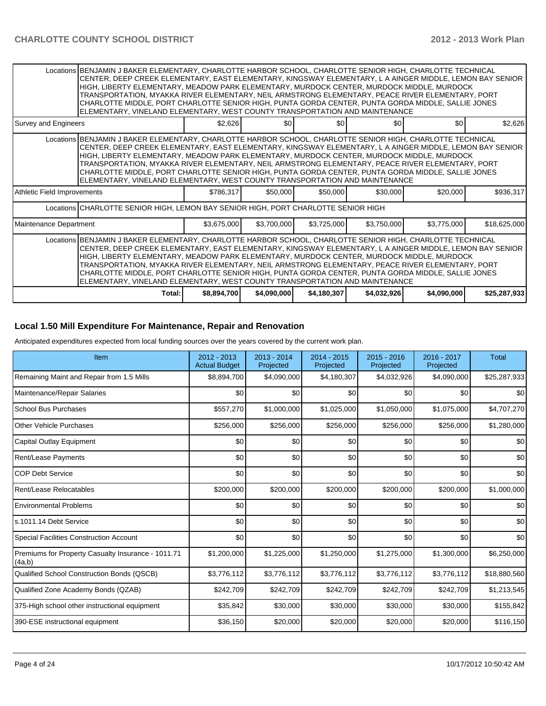|                                                                                                                                                                                                                                                                                                                                                                                                                                                                                                                                                                                                              | Locations   BENJAMIN J BAKER ELEMENTARY, CHARLOTTE HARBOR SCHOOL, CHARLOTTE SENIOR HIGH, CHARLOTTE TECHNICAL<br>CENTER, DEEP CREEK ELEMENTARY, EAST ELEMENTARY, KINGSWAY ELEMENTARY, L A AINGER MIDDLE, LEMON BAY SENIOR<br>HIGH, LIBERTY ELEMENTARY, MEADOW PARK ELEMENTARY, MURDOCK CENTER, MURDOCK MIDDLE, MURDOCK<br>TRANSPORTATION, MYAKKA RIVER ELEMENTARY, NEIL ARMSTRONG ELEMENTARY, PEACE RIVER ELEMENTARY, PORT<br>CHARLOTTE MIDDLE, PORT CHARLOTTE SENIOR HIGH, PUNTA GORDA CENTER, PUNTA GORDA MIDDLE, SALLIE JONES<br>ELEMENTARY, VINELAND ELEMENTARY, WEST COUNTY TRANSPORTATION AND MAINTENANCE |             |             |             |             |             |              |
|--------------------------------------------------------------------------------------------------------------------------------------------------------------------------------------------------------------------------------------------------------------------------------------------------------------------------------------------------------------------------------------------------------------------------------------------------------------------------------------------------------------------------------------------------------------------------------------------------------------|----------------------------------------------------------------------------------------------------------------------------------------------------------------------------------------------------------------------------------------------------------------------------------------------------------------------------------------------------------------------------------------------------------------------------------------------------------------------------------------------------------------------------------------------------------------------------------------------------------------|-------------|-------------|-------------|-------------|-------------|--------------|
| Survey and Engineers                                                                                                                                                                                                                                                                                                                                                                                                                                                                                                                                                                                         |                                                                                                                                                                                                                                                                                                                                                                                                                                                                                                                                                                                                                | \$2.626     | \$0         | \$0         | \$0         | \$0         | \$2,626      |
|                                                                                                                                                                                                                                                                                                                                                                                                                                                                                                                                                                                                              | Locations   BENJAMIN J BAKER ELEMENTARY, CHARLOTTE HARBOR SCHOOL, CHARLOTTE SENIOR HIGH, CHARLOTTE TECHNICAL<br>CENTER, DEEP CREEK ELEMENTARY, EAST ELEMENTARY, KINGSWAY ELEMENTARY, L A AINGER MIDDLE, LEMON BAY SENIOR<br>HIGH, LIBERTY ELEMENTARY, MEADOW PARK ELEMENTARY, MURDOCK CENTER, MURDOCK MIDDLE, MURDOCK<br>TRANSPORTATION, MYAKKA RIVER ELEMENTARY, NEIL ARMSTRONG ELEMENTARY, PEACE RIVER ELEMENTARY, PORT<br>CHARLOTTE MIDDLE, PORT CHARLOTTE SENIOR HIGH, PUNTA GORDA CENTER, PUNTA GORDA MIDDLE, SALLIE JONES<br>ELEMENTARY, VINELAND ELEMENTARY, WEST COUNTY TRANSPORTATION AND MAINTENANCE |             |             |             |             |             |              |
| Athletic Field Improvements                                                                                                                                                                                                                                                                                                                                                                                                                                                                                                                                                                                  |                                                                                                                                                                                                                                                                                                                                                                                                                                                                                                                                                                                                                | \$786,317   | \$50,000    | \$50,000    | \$30,000    | \$20,000    | \$936,317    |
|                                                                                                                                                                                                                                                                                                                                                                                                                                                                                                                                                                                                              | Locations CHARLOTTE SENIOR HIGH, LEMON BAY SENIOR HIGH, PORT CHARLOTTE SENIOR HIGH                                                                                                                                                                                                                                                                                                                                                                                                                                                                                                                             |             |             |             |             |             |              |
| Maintenance Department                                                                                                                                                                                                                                                                                                                                                                                                                                                                                                                                                                                       |                                                                                                                                                                                                                                                                                                                                                                                                                                                                                                                                                                                                                | \$3,675,000 | \$3,700,000 | \$3,725,000 | \$3,750,000 | \$3,775,000 | \$18,625,000 |
| Locations BENJAMIN J BAKER ELEMENTARY, CHARLOTTE HARBOR SCHOOL, CHARLOTTE SENIOR HIGH, CHARLOTTE TECHNICAL<br>CENTER, DEEP CREEK ELEMENTARY, EAST ELEMENTARY, KINGSWAY ELEMENTARY, L A AINGER MIDDLE, LEMON BAY SENIOR<br>HIGH, LIBERTY ELEMENTARY, MEADOW PARK ELEMENTARY, MURDOCK CENTER, MURDOCK MIDDLE, MURDOCK<br>TRANSPORTATION, MYAKKA RIVER ELEMENTARY, NEIL ARMSTRONG ELEMENTARY, PEACE RIVER ELEMENTARY, PORT<br>CHARLOTTE MIDDLE, PORT CHARLOTTE SENIOR HIGH, PUNTA GORDA CENTER, PUNTA GORDA MIDDLE, SALLIE JONES<br>ELEMENTARY, VINELAND ELEMENTARY, WEST COUNTY TRANSPORTATION AND MAINTENANCE |                                                                                                                                                                                                                                                                                                                                                                                                                                                                                                                                                                                                                |             |             |             |             |             |              |
|                                                                                                                                                                                                                                                                                                                                                                                                                                                                                                                                                                                                              | Total:                                                                                                                                                                                                                                                                                                                                                                                                                                                                                                                                                                                                         | \$8,894,700 | \$4,090,000 | \$4,180,307 | \$4,032,926 | \$4,090,000 | \$25,287,933 |

## **Local 1.50 Mill Expenditure For Maintenance, Repair and Renovation**

Anticipated expenditures expected from local funding sources over the years covered by the current work plan.

| Item                                                         | 2012 - 2013<br><b>Actual Budget</b> | 2013 - 2014<br>Projected | 2014 - 2015<br>Projected | $2015 - 2016$<br>Projected | 2016 - 2017<br>Projected | <b>Total</b> |
|--------------------------------------------------------------|-------------------------------------|--------------------------|--------------------------|----------------------------|--------------------------|--------------|
| Remaining Maint and Repair from 1.5 Mills                    | \$8,894,700                         | \$4,090,000              | \$4,180,307              | \$4,032,926                | \$4,090,000              | \$25,287,933 |
| Maintenance/Repair Salaries                                  | \$0                                 | \$0                      | \$0                      | \$0                        | \$0                      | \$0          |
| <b>School Bus Purchases</b>                                  | \$557,270                           | \$1,000,000              | \$1,025,000              | \$1,050,000                | \$1,075,000              | \$4,707,270  |
| Other Vehicle Purchases                                      | \$256,000                           | \$256,000                | \$256,000                | \$256,000                  | \$256,000                | \$1,280,000  |
| Capital Outlay Equipment                                     | \$0                                 | \$0                      | \$0                      | \$0                        | \$0                      | \$0          |
| <b>Rent/Lease Payments</b>                                   | \$0                                 | \$0                      | \$0                      | \$0                        | \$0                      | \$0          |
| <b>COP Debt Service</b>                                      | \$0                                 | \$0                      | \$0                      | \$0                        | \$0                      | \$0          |
| Rent/Lease Relocatables                                      | \$200,000                           | \$200,000                | \$200,000                | \$200,000                  | \$200,000                | \$1,000,000  |
| <b>Environmental Problems</b>                                | \$0                                 | \$0                      | \$0                      | \$0                        | \$0                      | \$0          |
| s.1011.14 Debt Service                                       | \$0                                 | \$0                      | \$0                      | \$0                        | \$0                      | \$0          |
| <b>Special Facilities Construction Account</b>               | \$0                                 | \$0                      | \$0                      | \$0                        | \$0                      | \$0          |
| Premiums for Property Casualty Insurance - 1011.71<br>(4a,b) | \$1,200,000                         | \$1,225,000              | \$1,250,000              | \$1,275,000                | \$1,300,000              | \$6,250,000  |
| Qualified School Construction Bonds (QSCB)                   | \$3,776,112                         | \$3,776,112              | \$3,776,112              | \$3,776,112                | \$3,776,112              | \$18,880,560 |
| Qualified Zone Academy Bonds (QZAB)                          | \$242,709                           | \$242,709                | \$242,709                | \$242,709                  | \$242,709                | \$1,213,545  |
| 375-High school other instructional equipment                | \$35,842                            | \$30,000                 | \$30,000                 | \$30,000                   | \$30,000                 | \$155,842    |
| 390-ESE instructional equipment                              | \$36,150                            | \$20,000                 | \$20,000                 | \$20,000                   | \$20,000                 | \$116,150    |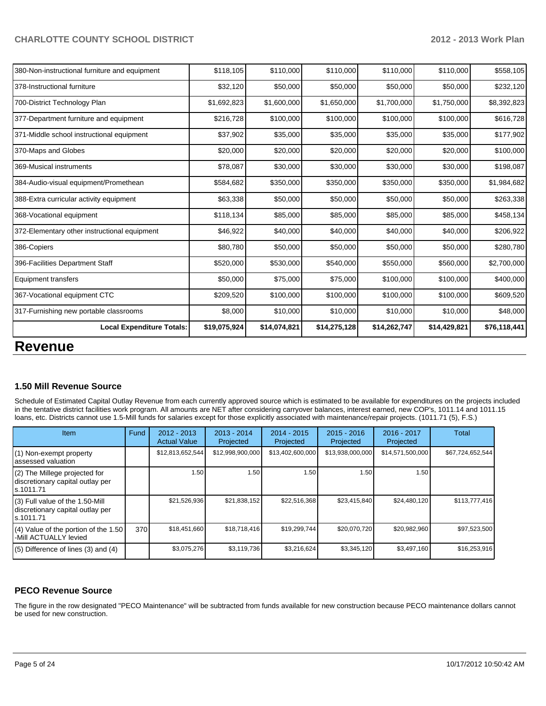| <b>Revenue</b>                                |              |              |              |              |              |              |
|-----------------------------------------------|--------------|--------------|--------------|--------------|--------------|--------------|
| <b>Local Expenditure Totals:</b>              | \$19,075,924 | \$14,074,821 | \$14,275,128 | \$14,262,747 | \$14,429,821 | \$76,118,441 |
| 317-Furnishing new portable classrooms        | \$8,000      | \$10,000     | \$10,000     | \$10,000     | \$10,000     | \$48,000     |
| 367-Vocational equipment CTC                  | \$209,520    | \$100,000    | \$100,000    | \$100,000    | \$100,000    | \$609,520    |
| <b>Equipment transfers</b>                    | \$50,000     | \$75,000     | \$75,000     | \$100,000    | \$100,000    | \$400,000    |
| 396-Facilities Department Staff               | \$520,000    | \$530,000    | \$540,000    | \$550,000    | \$560,000    | \$2,700,000  |
| 386-Copiers                                   | \$80,780     | \$50,000     | \$50,000     | \$50,000     | \$50,000     | \$280,780    |
| 372-Elementary other instructional equipment  | \$46,922     | \$40,000     | \$40,000     | \$40,000     | \$40,000     | \$206,922    |
| 368-Vocational equipment                      | \$118,134    | \$85,000     | \$85,000     | \$85,000     | \$85,000     | \$458,134    |
| 388-Extra curricular activity equipment       | \$63,338     | \$50,000     | \$50,000     | \$50,000     | \$50,000     | \$263,338    |
| 384-Audio-visual equipment/Promethean         | \$584,682    | \$350,000    | \$350,000    | \$350,000    | \$350,000    | \$1,984,682  |
| 369-Musical instruments                       | \$78,087     | \$30,000     | \$30,000     | \$30,000     | \$30,000     | \$198,087    |
| 370-Maps and Globes                           | \$20,000     | \$20,000     | \$20,000     | \$20,000     | \$20,000     | \$100,000    |
| 371-Middle school instructional equipment     | \$37,902     | \$35,000     | \$35,000     | \$35,000     | \$35,000     | \$177,902    |
| 377-Department furniture and equipment        | \$216,728    | \$100,000    | \$100,000    | \$100,000    | \$100,000    | \$616,728    |
| 700-District Technology Plan                  | \$1,692,823  | \$1,600,000  | \$1,650,000  | \$1,700,000  | \$1,750,000  | \$8,392,823  |
| 378-Instructional furniture                   | \$32,120     | \$50,000     | \$50,000     | \$50,000     | \$50,000     | \$232,120    |
| 380-Non-instructional furniture and equipment | \$118,105    | \$110,000    | \$110,000    | \$110,000    | \$110,000    | \$558,105    |

#### **1.50 Mill Revenue Source**

Schedule of Estimated Capital Outlay Revenue from each currently approved source which is estimated to be available for expenditures on the projects included in the tentative district facilities work program. All amounts are NET after considering carryover balances, interest earned, new COP's, 1011.14 and 1011.15 loans, etc. Districts cannot use 1.5-Mill funds for salaries except for those explicitly associated with maintenance/repair projects. (1011.71 (5), F.S.)

| <b>Item</b>                                                                       | Fund | $2012 - 2013$<br><b>Actual Value</b> | $2013 - 2014$<br>Projected | $2014 - 2015$<br>Projected | $2015 - 2016$<br>Projected | 2016 - 2017<br>Projected | Total            |
|-----------------------------------------------------------------------------------|------|--------------------------------------|----------------------------|----------------------------|----------------------------|--------------------------|------------------|
| (1) Non-exempt property<br>assessed valuation                                     |      | \$12,813,652,544                     | \$12,998,900,000           | \$13,402,600,000           | \$13,938,000,000           | \$14,571,500,000         | \$67,724,652,544 |
| (2) The Millege projected for<br>discretionary capital outlay per<br>ls.1011.71   |      | 1.50                                 | 1.50                       | 1.50                       | 1.50                       | 1.50                     |                  |
| (3) Full value of the 1.50-Mill<br>discretionary capital outlay per<br>ls.1011.71 |      | \$21,526,936                         | \$21,838,152               | \$22,516,368               | \$23,415,840               | \$24,480,120             | \$113,777,416    |
| $(4)$ Value of the portion of the 1.50<br>-Mill ACTUALLY levied                   | 370  | \$18,451,660                         | \$18,718,416               | \$19,299,744               | \$20,070,720               | \$20,982,960             | \$97,523,500     |
| $(5)$ Difference of lines $(3)$ and $(4)$                                         |      | \$3.075.276                          | \$3.119.736                | \$3.216.624                | \$3,345,120                | \$3.497.160              | \$16,253,916     |

#### **PECO Revenue Source**

The figure in the row designated "PECO Maintenance" will be subtracted from funds available for new construction because PECO maintenance dollars cannot be used for new construction.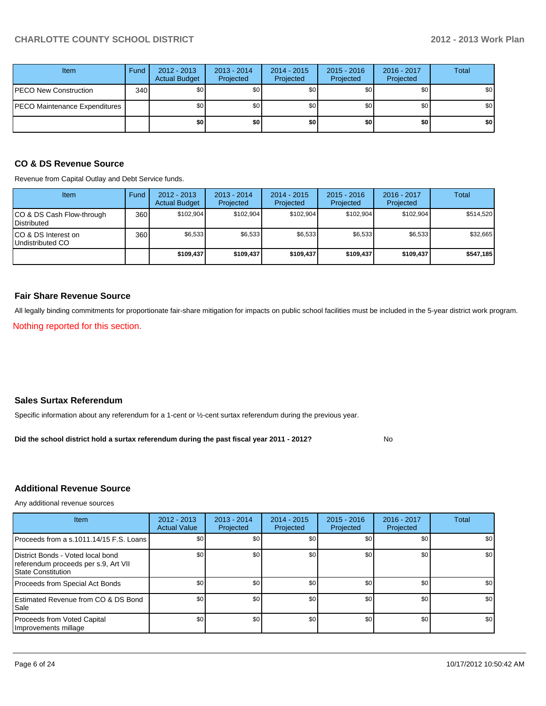| Item                          | Fund | $2012 - 2013$<br><b>Actual Budget</b> | $2013 - 2014$<br>Projected | $2014 - 2015$<br>Projected | $2015 - 2016$<br>Projected | 2016 - 2017<br>Projected | <b>Total</b> |
|-------------------------------|------|---------------------------------------|----------------------------|----------------------------|----------------------------|--------------------------|--------------|
| PECO New Construction         | 340  | \$0                                   | \$0                        | \$0                        | \$0                        | \$0                      | \$0          |
| PECO Maintenance Expenditures |      | \$0                                   | \$0                        | \$0                        | \$0                        | \$0 <sub>1</sub>         | \$0          |
|                               |      | \$0                                   | \$0                        | \$0                        | \$0                        | \$0                      | \$0          |

## **CO & DS Revenue Source**

Revenue from Capital Outlay and Debt Service funds.

| Item                                               | Fund | $2012 - 2013$<br><b>Actual Budget</b> | $2013 - 2014$<br>Projected | $2014 - 2015$<br>Projected | $2015 - 2016$<br>Projected | $2016 - 2017$<br>Projected | Total     |
|----------------------------------------------------|------|---------------------------------------|----------------------------|----------------------------|----------------------------|----------------------------|-----------|
| ICO & DS Cash Flow-through<br><b>I</b> Distributed | 360  | \$102.904                             | \$102.904                  | \$102.904                  | \$102.904                  | \$102.904                  | \$514,520 |
| ICO & DS Interest on<br>Undistributed CO           | 360  | \$6,533                               | \$6,533                    | \$6,533                    | \$6,533                    | \$6,533                    | \$32,665  |
|                                                    |      | \$109,437                             | \$109,437                  | \$109.437                  | \$109,437                  | \$109.437                  | \$547,185 |

#### **Fair Share Revenue Source**

All legally binding commitments for proportionate fair-share mitigation for impacts on public school facilities must be included in the 5-year district work program.

Nothing reported for this section.

### **Sales Surtax Referendum**

Specific information about any referendum for a 1-cent or ½-cent surtax referendum during the previous year.

No **Did the school district hold a surtax referendum during the past fiscal year 2011 - 2012?**

## **Additional Revenue Source**

Any additional revenue sources

| <b>Item</b>                                                                                            | 2012 - 2013<br><b>Actual Value</b> | $2013 - 2014$<br>Projected | $2014 - 2015$<br>Projected | $2015 - 2016$<br>Projected | 2016 - 2017<br>Projected | Total |
|--------------------------------------------------------------------------------------------------------|------------------------------------|----------------------------|----------------------------|----------------------------|--------------------------|-------|
| Proceeds from a s.1011.14/15 F.S. Loans                                                                | \$0 <sub>1</sub>                   | \$0                        | \$0                        | \$0                        | \$0                      | \$0   |
| District Bonds - Voted local bond<br>referendum proceeds per s.9, Art VII<br><b>State Constitution</b> | \$0                                | \$0                        | \$0                        | \$0                        | \$0                      | \$0   |
| Proceeds from Special Act Bonds                                                                        | \$0                                | \$0                        | \$0                        | \$0                        | \$0                      | \$0   |
| <b>Estimated Revenue from CO &amp; DS Bond</b><br><b>I</b> Sale                                        | \$0                                | \$0                        | \$0                        | \$0                        | \$0                      | \$0   |
| Proceeds from Voted Capital<br>Improvements millage                                                    | \$0                                | \$0                        | \$0                        | \$0                        | \$0 <sub>1</sub>         | \$0   |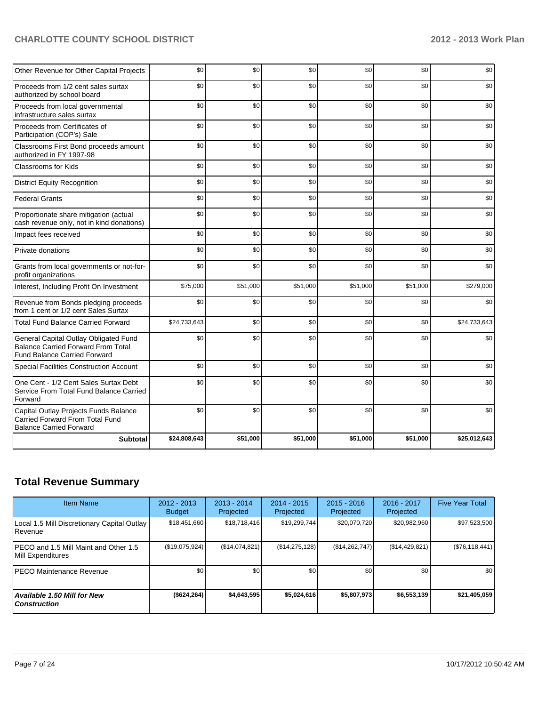| <b>Subtotal</b>                                                                                                           | \$24,808,643 | \$51,000 | \$51,000 | \$51,000 | \$51,000 | \$25,012,643 |
|---------------------------------------------------------------------------------------------------------------------------|--------------|----------|----------|----------|----------|--------------|
| Capital Outlay Projects Funds Balance<br><b>Carried Forward From Total Fund</b><br><b>Balance Carried Forward</b>         | \$0          | \$0      | \$0      | \$0      | \$0      | \$0          |
| One Cent - 1/2 Cent Sales Surtax Debt<br>Service From Total Fund Balance Carried<br>Forward                               | \$0          | \$0      | \$0      | \$0      | \$0      | \$0          |
| <b>Special Facilities Construction Account</b>                                                                            | \$0          | \$0      | \$0      | \$0      | \$0      | \$0          |
| General Capital Outlay Obligated Fund<br><b>Balance Carried Forward From Total</b><br><b>Fund Balance Carried Forward</b> | \$0          | \$0      | \$0      | \$0      | \$0      | \$0          |
| <b>Total Fund Balance Carried Forward</b>                                                                                 | \$24,733,643 | \$0      | \$0      | \$0      | \$0      | \$24,733,643 |
| Revenue from Bonds pledging proceeds<br>from 1 cent or 1/2 cent Sales Surtax                                              | \$0          | \$0      | \$0      | \$0      | \$0      | \$0          |
| Interest, Including Profit On Investment                                                                                  | \$75,000     | \$51,000 | \$51,000 | \$51,000 | \$51,000 | \$279,000    |
| Grants from local governments or not-for-<br>profit organizations                                                         | \$0          | \$0      | \$0      | \$0      | \$0      | \$0          |
| Private donations                                                                                                         | \$0          | \$0      | \$0      | \$0      | \$0      | \$0          |
| Impact fees received                                                                                                      | \$0          | \$0      | \$0      | \$0      | \$0      | \$0          |
| Proportionate share mitigation (actual<br>cash revenue only, not in kind donations)                                       | \$0          | \$0      | \$0      | \$0      | \$0      | \$0          |
| <b>Federal Grants</b>                                                                                                     | \$0          | \$0      | \$0      | \$0      | \$0      | \$0          |
| <b>District Equity Recognition</b>                                                                                        | \$0          | \$0      | \$0      | \$0      | \$0      | \$0          |
| Classrooms for Kids                                                                                                       | \$0          | \$0      | \$0      | \$0      | \$0      | \$0          |
| Classrooms First Bond proceeds amount<br>authorized in FY 1997-98                                                         | \$0          | \$0      | \$0      | \$0      | \$0      | \$0          |
| Proceeds from Certificates of<br>Participation (COP's) Sale                                                               | \$0          | \$0      | \$0      | \$0      | \$0      | \$0          |
| Proceeds from local governmental<br>infrastructure sales surtax                                                           | \$0          | \$0      | \$0      | \$0      | \$0      | \$0          |
| Proceeds from 1/2 cent sales surtax<br>authorized by school board                                                         | \$0          | \$0      | \$0      | \$0      | \$0      | \$0          |
| Other Revenue for Other Capital Projects                                                                                  | \$0          | \$0      | \$0      | \$0      | \$0      | \$0          |

## **Total Revenue Summary**

| <b>Item Name</b>                                                | 2012 - 2013<br><b>Budget</b> | $2013 - 2014$<br>Projected | 2014 - 2015<br>Projected | $2015 - 2016$<br>Projected | $2016 - 2017$<br>Projected | <b>Five Year Total</b> |
|-----------------------------------------------------------------|------------------------------|----------------------------|--------------------------|----------------------------|----------------------------|------------------------|
| Local 1.5 Mill Discretionary Capital Outlay<br><b>I</b> Revenue | \$18,451,660                 | \$18,718,416               | \$19,299,744             | \$20,070,720               | \$20,982,960               | \$97,523,500           |
| IPECO and 1.5 Mill Maint and Other 1.5<br>Mill Expenditures     | (\$19,075,924)               | (S14, 074, 821)            | (\$14,275,128)           | (\$14,262,747)             | (\$14,429,821)             | (\$76,118,441)         |
| IPECO Maintenance Revenue                                       | \$0                          | \$0                        | \$0                      | \$0                        | \$0                        | \$0 <sub>1</sub>       |
| Available 1.50 Mill for New l<br>l Construction                 | ( \$624, 264)                | \$4.643.595                | \$5,024,616              | \$5,807,973                | \$6,553,139                | \$21,405,059           |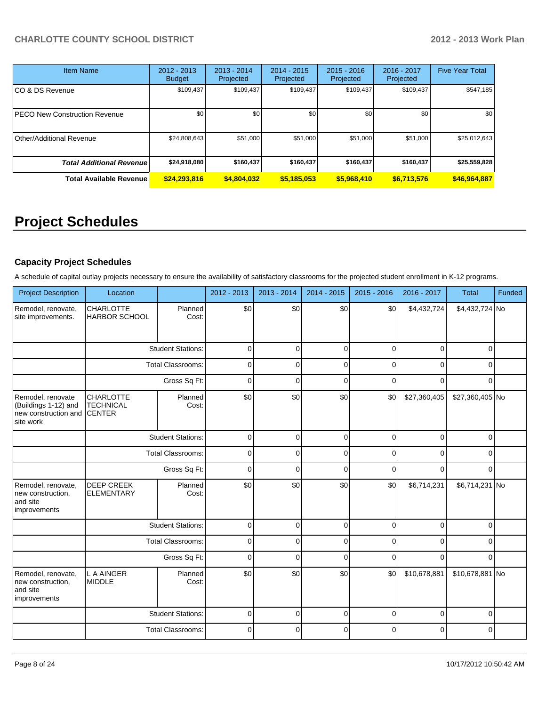| <b>Item Name</b>                     | $2012 - 2013$<br><b>Budget</b> | $2013 - 2014$<br>Projected | 2014 - 2015<br><b>Projected</b> | $2015 - 2016$<br>Projected | 2016 - 2017<br>Projected | <b>Five Year Total</b> |
|--------------------------------------|--------------------------------|----------------------------|---------------------------------|----------------------------|--------------------------|------------------------|
| CO & DS Revenue                      | \$109,437                      | \$109,437                  | \$109,437                       | \$109,437                  | \$109,437                | \$547,185              |
| <b>PECO New Construction Revenue</b> | \$0                            | \$0 <sub>1</sub>           | \$0                             | \$0                        | \$0                      | \$0 <sub>1</sub>       |
| Other/Additional Revenue             | \$24,808,643                   | \$51,000                   | \$51,000                        | \$51,000                   | \$51,000                 | \$25,012,643           |
| <b>Total Additional Revenuel</b>     | \$24,918,080                   | \$160,437                  | \$160,437                       | \$160,437                  | \$160,437                | \$25,559,828           |
| <b>Total Available Revenue</b>       | \$24,293,816                   | \$4,804,032                | \$5,185,053                     | \$5,968,410                | \$6,713,576              | \$46,964,887           |

# **Project Schedules**

## **Capacity Project Schedules**

A schedule of capital outlay projects necessary to ensure the availability of satisfactory classrooms for the projected student enrollment in K-12 programs.

| <b>Project Description</b>                                                     | Location                                              |                          | 2012 - 2013 | 2013 - 2014 | 2014 - 2015 | 2015 - 2016 | 2016 - 2017  | <b>Total</b>    | Funded |
|--------------------------------------------------------------------------------|-------------------------------------------------------|--------------------------|-------------|-------------|-------------|-------------|--------------|-----------------|--------|
| Remodel, renovate,<br>site improvements.                                       | <b>CHARLOTTE</b><br><b>HARBOR SCHOOL</b>              | Planned<br>Cost:         | \$0         | \$0         | \$0         | \$0         | \$4,432,724  | \$4,432,724 No  |        |
|                                                                                |                                                       | <b>Student Stations:</b> | $\mathbf 0$ | $\Omega$    | $\Omega$    | $\Omega$    | $\Omega$     | $\Omega$        |        |
|                                                                                |                                                       | <b>Total Classrooms:</b> | $\mathbf 0$ | $\Omega$    | $\mathbf 0$ | $\Omega$    | $\Omega$     | $\Omega$        |        |
|                                                                                |                                                       | Gross Sq Ft:             | $\mathbf 0$ | $\mathbf 0$ | $\mathbf 0$ | $\Omega$    | $\Omega$     | $\Omega$        |        |
| Remodel, renovate<br>(Buildings 1-12) and<br>new construction and<br>site work | <b>CHARLOTTE</b><br><b>TECHNICAL</b><br><b>CENTER</b> | Planned<br>Cost:         | \$0         | \$0         | \$0         | \$0         | \$27,360,405 | \$27,360,405 No |        |
|                                                                                | <b>Student Stations:</b>                              |                          | $\mathbf 0$ | $\mathbf 0$ | $\mathbf 0$ | $\Omega$    | $\mathbf 0$  | $\Omega$        |        |
|                                                                                | <b>Total Classrooms:</b>                              |                          | $\mathbf 0$ | 0           | $\mathbf 0$ | $\Omega$    | 0            | O               |        |
|                                                                                | Gross Sq Ft:                                          |                          | $\mathbf 0$ | $\Omega$    | $\Omega$    | $\Omega$    | 0            | 0               |        |
| Remodel, renovate,<br>new construction,<br>and site<br>improvements            | DEEP CREEK<br><b>ELEMENTARY</b>                       | Planned<br>Cost:         | \$0         | \$0         | \$0         | \$0         | \$6,714,231  | \$6,714,231 No  |        |
|                                                                                |                                                       | <b>Student Stations:</b> | $\mathbf 0$ | $\Omega$    | $\mathbf 0$ | $\Omega$    | $\mathbf 0$  | $\Omega$        |        |
|                                                                                |                                                       | <b>Total Classrooms:</b> | $\mathbf 0$ | $\mathbf 0$ | $\mathbf 0$ | $\Omega$    | $\Omega$     | $\Omega$        |        |
|                                                                                |                                                       | Gross Sq Ft:             | $\mathbf 0$ | $\Omega$    | $\mathbf 0$ | $\Omega$    | $\Omega$     | $\Omega$        |        |
| Remodel, renovate,<br>new construction,<br>and site<br>improvements            | L A AINGER<br><b>MIDDLE</b>                           | Planned<br>Cost:         | \$0         | \$0         | \$0         | \$0         | \$10,678,881 | \$10,678,881 No |        |
|                                                                                |                                                       | <b>Student Stations:</b> | $\mathbf 0$ | $\Omega$    | $\mathbf 0$ | $\Omega$    | $\mathbf 0$  | 0               |        |
|                                                                                |                                                       | <b>Total Classrooms:</b> | $\mathbf 0$ | 0           | $\Omega$    | $\Omega$    | 0            | $\Omega$        |        |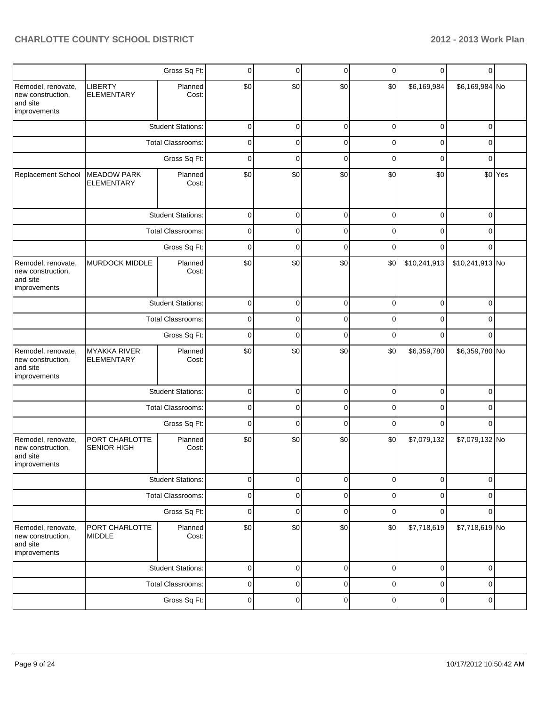|                                                                     |                                          | Gross Sq Ft:             | 0           | 0            | $\mathbf 0$ | 0            | 0            | 0               |         |
|---------------------------------------------------------------------|------------------------------------------|--------------------------|-------------|--------------|-------------|--------------|--------------|-----------------|---------|
| Remodel, renovate,<br>new construction,<br>and site<br>improvements | <b>LIBERTY</b><br><b>ELEMENTARY</b>      | Planned<br>Cost:         | \$0         | \$0          | \$0         | \$0          | \$6,169,984  | \$6,169,984 No  |         |
|                                                                     |                                          | <b>Student Stations:</b> | 0           | 0            | $\mathbf 0$ | 0            | 0            | 0               |         |
|                                                                     |                                          | Total Classrooms:        | 0           | $\Omega$     | 0           | $\Omega$     | 0            | 0               |         |
|                                                                     |                                          | Gross Sq Ft:             | $\mathbf 0$ | $\mathbf{0}$ | $\Omega$    | $\mathbf{0}$ | $\Omega$     | $\Omega$        |         |
| Replacement School                                                  | <b>MEADOW PARK</b><br><b>ELEMENTARY</b>  | Planned<br>Cost:         | \$0         | \$0          | \$0         | \$0          | \$0          |                 | \$0 Yes |
|                                                                     |                                          | <b>Student Stations:</b> | 0           | 0            | $\mathbf 0$ | $\mathbf 0$  | 0            | 0               |         |
|                                                                     |                                          | <b>Total Classrooms:</b> | $\mathbf 0$ | 0            | $\mathbf 0$ | $\Omega$     | 0            | 0               |         |
|                                                                     |                                          | Gross Sq Ft:             | 0           | 0            | $\mathbf 0$ | $\mathbf 0$  | 0            | 0               |         |
| Remodel, renovate,<br>new construction,<br>and site<br>improvements | MURDOCK MIDDLE                           | Planned<br>Cost:         | \$0         | \$0          | \$0         | \$0          | \$10,241,913 | \$10,241,913 No |         |
|                                                                     |                                          | <b>Student Stations:</b> | 0           | $\mathbf{0}$ | $\mathbf 0$ | $\mathbf{0}$ | 0            | $\Omega$        |         |
|                                                                     | <b>Total Classrooms:</b>                 |                          | 0           | $\Omega$     | 0           | $\Omega$     | 0            | 0               |         |
|                                                                     |                                          | $\mathbf 0$              | $\Omega$    | $\mathbf{0}$ | $\Omega$    | 0            | 0            |                 |         |
| Remodel, renovate,<br>new construction,<br>and site<br>improvements | <b>MYAKKA RIVER</b><br><b>ELEMENTARY</b> | Planned<br>Cost:         | \$0         | \$0          | \$0         | \$0          | \$6,359,780  | \$6,359,780 No  |         |
|                                                                     |                                          | <b>Student Stations:</b> | $\mathbf 0$ | $\Omega$     | $\mathbf 0$ | $\Omega$     | 0            | 0               |         |
|                                                                     |                                          | Total Classrooms:        | 0           | 0            | 0           | 0            | 0            | 0               |         |
|                                                                     |                                          | Gross Sq Ft:             | $\mathbf 0$ | 0            | $\Omega$    | $\Omega$     | 0            | $\Omega$        |         |
| Remodel, renovate,<br>new construction,<br>and site<br>improvements | PORT CHARLOTTE<br><b>SENIOR HIGH</b>     | Planned<br>Cost:         | \$0         | \$0          | \$0         | \$0          | \$7,079,132  | \$7,079,132 No  |         |
|                                                                     |                                          | <b>Student Stations:</b> | 0           | 0            | $\mathbf 0$ | $\mathbf 0$  | 0            | 0               |         |
|                                                                     |                                          | Total Classrooms:        | 0           | 0            | $\mathbf 0$ | 0            | 0            | 0               |         |
|                                                                     |                                          | Gross Sq Ft:             | $\mathbf 0$ | 0            | $\mathbf 0$ | $\mathbf 0$  | $\Omega$     | $\Omega$        |         |
| Remodel, renovate,<br>new construction,<br>and site<br>improvements | PORT CHARLOTTE<br><b>MIDDLE</b>          | Planned<br>Cost:         | \$0         | \$0          | \$0         | \$0          | \$7,718,619  | \$7,718,619 No  |         |
|                                                                     |                                          | <b>Student Stations:</b> | $\pmb{0}$   | 0            | $\mathbf 0$ | $\mathbf 0$  | $\mathbf 0$  | $\mathbf{0}$    |         |
|                                                                     |                                          | <b>Total Classrooms:</b> | 0           | 0            | $\mathbf 0$ | 0            | $\mathbf 0$  | 0               |         |
|                                                                     |                                          | Gross Sq Ft:             | $\pmb{0}$   | 0            | $\pmb{0}$   | $\pmb{0}$    | $\mathbf 0$  | 0               |         |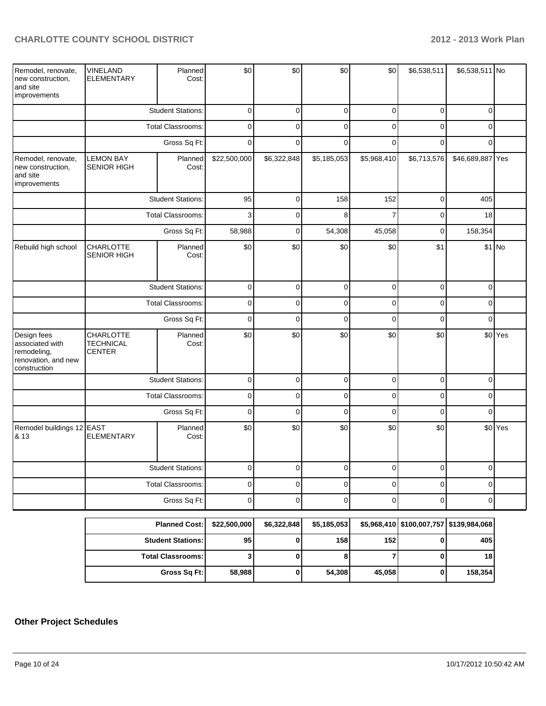| Remodel, renovate,<br>new construction,<br>and site<br>improvements                  | <b>VINELAND</b><br><b>ELEMENTARY</b>           | Planned<br>Cost:         | \$0          | \$0         | \$0            | \$0            | \$6,538,511      | \$6,538,511 No                             |                    |
|--------------------------------------------------------------------------------------|------------------------------------------------|--------------------------|--------------|-------------|----------------|----------------|------------------|--------------------------------------------|--------------------|
|                                                                                      | <b>Student Stations:</b>                       |                          | $\pmb{0}$    | $\pmb{0}$   | $\pmb{0}$      | $\pmb{0}$      | $\boldsymbol{0}$ | $\mathbf 0$                                |                    |
|                                                                                      |                                                | <b>Total Classrooms:</b> | $\mathbf 0$  | $\mathbf 0$ | $\mathbf 0$    | $\mathbf 0$    | $\mathbf 0$      | $\Omega$                                   |                    |
|                                                                                      |                                                | Gross Sq Ft:             | $\pmb{0}$    | $\mathbf 0$ | $\mathbf 0$    | $\mathbf 0$    | $\mathbf 0$      | 0                                          |                    |
| Remodel, renovate,<br>new construction,<br>and site<br>improvements                  | <b>LEMON BAY</b><br><b>SENIOR HIGH</b>         | Planned<br>Cost:         | \$22,500,000 | \$6,322,848 | \$5,185,053    | \$5,968,410    | \$6,713,576      | \$46,689,887 Yes                           |                    |
|                                                                                      |                                                | <b>Student Stations:</b> | 95           | $\mathbf 0$ | 158            | 152            | $\mathbf 0$      | 405                                        |                    |
|                                                                                      |                                                | <b>Total Classrooms:</b> | $\mathsf 3$  | $\mathbf 0$ | 8              | $\overline{7}$ | $\overline{0}$   | 18                                         |                    |
|                                                                                      |                                                | Gross Sq Ft:             | 58,988       | $\mathbf 0$ | 54,308         | 45,058         | $\mathbf 0$      | 158,354                                    |                    |
| Rebuild high school                                                                  | CHARLOTTE<br><b>SENIOR HIGH</b>                | Planned<br>Cost:         | \$0          | \$0         | \$0            | \$0            | \$1              |                                            | \$1 No             |
|                                                                                      | <b>Student Stations:</b>                       |                          | $\mathbf 0$  | $\pmb{0}$   | $\pmb{0}$      | $\mathbf 0$    | $\mathbf 0$      | 0                                          |                    |
|                                                                                      | <b>Total Classrooms:</b>                       |                          | $\mathbf 0$  | 0           | $\mathbf 0$    | $\mathbf 0$    | $\mathbf 0$      | 0                                          |                    |
|                                                                                      |                                                | Gross Sq Ft:             | $\pmb{0}$    | $\Omega$    | $\overline{0}$ | $\overline{0}$ | $\overline{0}$   | $\Omega$                                   |                    |
| Design fees<br>associated with<br>remodeling,<br>renovation, and new<br>construction | CHARLOTTE<br><b>TECHNICAL</b><br><b>CENTER</b> | Planned<br>Cost:         | \$0          | \$0         | \$0            | \$0            | \$0              |                                            | \$0 Yes            |
|                                                                                      |                                                | <b>Student Stations:</b> | $\pmb{0}$    | $\mathbf 0$ | $\mathbf 0$    | $\overline{0}$ | $\mathbf 0$      | $\mathbf 0$                                |                    |
|                                                                                      |                                                | Total Classrooms:        | $\pmb{0}$    | $\mathbf 0$ | $\overline{0}$ | $\mathbf 0$    | $\mathbf 0$      | 0                                          |                    |
|                                                                                      |                                                | Gross Sq Ft:             | $\mathbf 0$  | $\mathbf 0$ | $\overline{0}$ | $\overline{0}$ | $\mathbf 0$      | 0                                          |                    |
| Remodel buildings 12 EAST<br>& 13                                                    | ELEMENTARY                                     | Planned<br>Cost:         | \$0          | \$0         | \$0            | \$0            | \$0              |                                            | \$0 <sup>Yes</sup> |
|                                                                                      |                                                | <b>Student Stations:</b> | $\mathbf 0$  | $\Omega$    | $\mathbf 0$    | $\Omega$       | $\overline{0}$   | $\Omega$                                   |                    |
|                                                                                      |                                                | Total Classrooms:        | $\pmb{0}$    | $\pmb{0}$   | $\pmb{0}$      | $\pmb{0}$      | $\pmb{0}$        | 0                                          |                    |
|                                                                                      |                                                | Gross Sq Ft:             | $\mathbf 0$  | $\mathbf 0$ | $\mathbf 0$    | $\mathbf 0$    | $\mathbf 0$      | 0                                          |                    |
|                                                                                      |                                                | <b>Planned Cost:</b>     | \$22,500,000 | \$6,322,848 | \$5,185,053    |                |                  | $$5,968,410$ $$100,007,757$ $$139,984,068$ |                    |

| Planned Cost:   \$22,500,000 |                 | \$6,322,848 | \$5,185,053 |        | \$5,968,410   \$100,007,757   \$139,984,068 |         |
|------------------------------|-----------------|-------------|-------------|--------|---------------------------------------------|---------|
| <b>Student Stations: I</b>   | 95 <sub>1</sub> |             | 158         | 152    |                                             | 405     |
| <b>Total Classrooms:</b>     |                 |             | o           |        |                                             | 18      |
| Gross Sq Ft:                 | 58.988          |             | 54,308      | 45.058 |                                             | 158,354 |

## **Other Project Schedules**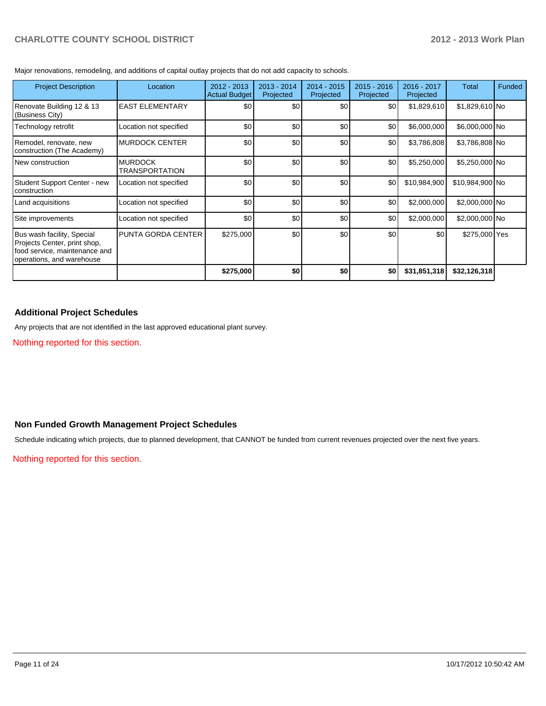Major renovations, remodeling, and additions of capital outlay projects that do not add capacity to schools.

| <b>Project Description</b>                                                                                               | Location                         | $2012 - 2013$<br><b>Actual Budget</b> | $2013 - 2014$<br>Projected | $2014 - 2015$<br>Projected | $2015 - 2016$<br>Projected | 2016 - 2017<br>Projected | Total           | Funded |
|--------------------------------------------------------------------------------------------------------------------------|----------------------------------|---------------------------------------|----------------------------|----------------------------|----------------------------|--------------------------|-----------------|--------|
| Renovate Building 12 & 13<br>(Business City)                                                                             | <b>EAST ELEMENTARY</b>           | \$0                                   | \$0                        | \$0                        | \$0                        | \$1,829,610              | $$1,829,610$ No |        |
| Technology retrofit                                                                                                      | Location not specified           | \$0                                   | \$0                        | \$0                        | \$0                        | \$6,000,000              | \$6,000,000 No  |        |
| Remodel, renovate, new<br>construction (The Academy)                                                                     | <b>MURDOCK CENTER</b>            | \$0                                   | \$0                        | \$0                        | \$0                        | \$3,786,808              | \$3,786,808 No  |        |
| New construction                                                                                                         | <b>MURDOCK</b><br>TRANSPORTATION | \$0                                   | \$0                        | \$0                        | \$0                        | \$5,250,000              | \$5,250,000 No  |        |
| Student Support Center - new<br>construction                                                                             | Location not specified           | \$0                                   | \$0                        | \$0                        | \$0                        | \$10,984,900             | \$10,984,900 No |        |
| Land acquisitions                                                                                                        | Location not specified           | \$0                                   | \$0                        | \$0                        | \$0                        | \$2,000,000              | \$2,000,000 No  |        |
| Site improvements                                                                                                        | Location not specified           | \$0                                   | \$0                        | \$0                        | \$0                        | \$2,000,000              | \$2,000,000 No  |        |
| Bus wash facility, Special<br>Projects Center, print shop,<br>food service, maintenance and<br>operations, and warehouse | <b>PUNTA GORDA CENTER</b>        | \$275,000                             | \$0                        | \$0                        | \$0                        | \$0                      | \$275,000 Yes   |        |
|                                                                                                                          |                                  | \$275,000                             | \$0                        | \$0                        | \$0                        | \$31,851,318             | \$32,126,318    |        |

#### **Additional Project Schedules**

Any projects that are not identified in the last approved educational plant survey.

Nothing reported for this section.

## **Non Funded Growth Management Project Schedules**

Schedule indicating which projects, due to planned development, that CANNOT be funded from current revenues projected over the next five years.

Nothing reported for this section.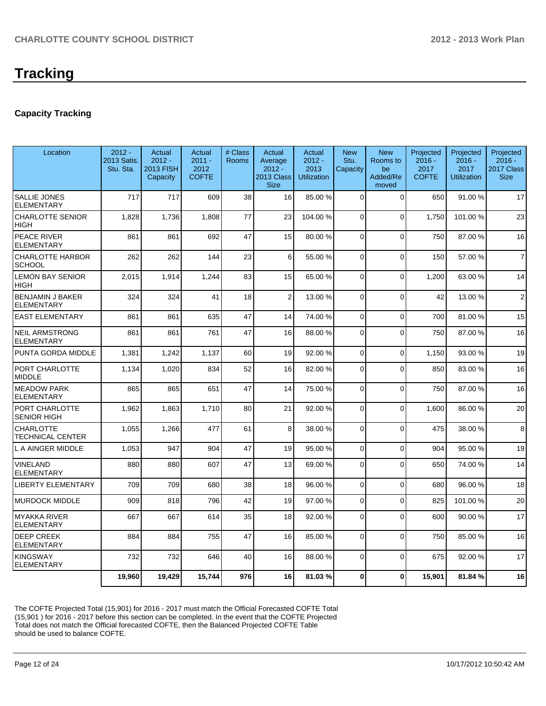# **Tracking**

## **Capacity Tracking**

| Location                                     | $2012 -$<br>2013 Satis.<br>Stu. Sta. | Actual<br>$2012 -$<br>2013 FISH<br>Capacity | Actual<br>$2011 -$<br>2012<br><b>COFTE</b> | # Class<br><b>Rooms</b> | Actual<br>Average<br>$2012 -$<br>2013 Class<br><b>Size</b> | Actual<br>$2012 -$<br>2013<br><b>Utilization</b> | <b>New</b><br>Stu.<br>Capacity | <b>New</b><br>Rooms to<br>be<br>Added/Re<br>moved | Projected<br>$2016 -$<br>2017<br><b>COFTE</b> | Projected<br>$2016 -$<br>2017<br><b>Utilization</b> | Projected<br>$2016 -$<br>2017 Class<br><b>Size</b> |
|----------------------------------------------|--------------------------------------|---------------------------------------------|--------------------------------------------|-------------------------|------------------------------------------------------------|--------------------------------------------------|--------------------------------|---------------------------------------------------|-----------------------------------------------|-----------------------------------------------------|----------------------------------------------------|
| <b>SALLIE JONES</b><br><b>ELEMENTARY</b>     | 717                                  | 717                                         | 609                                        | 38                      | 16                                                         | 85.00 %                                          | $\Omega$                       | $\Omega$                                          | 650                                           | 91.00%                                              | 17                                                 |
| <b>CHARLOTTE SENIOR</b><br><b>HIGH</b>       | 1,828                                | 1,736                                       | 1,808                                      | 77                      | 23                                                         | 104.00 %                                         | 0                              | $\Omega$                                          | 1.750                                         | 101.00 %                                            | 23                                                 |
| PEACE RIVER<br><b>ELEMENTARY</b>             | 861                                  | 861                                         | 692                                        | 47                      | 15                                                         | 80.00 %                                          | $\Omega$                       | $\Omega$                                          | 750                                           | 87.00%                                              | 16                                                 |
| <b>CHARLOTTE HARBOR</b><br><b>SCHOOL</b>     | 262                                  | 262                                         | 144                                        | 23                      | 6                                                          | 55.00 %                                          | $\overline{0}$                 | $\mathbf 0$                                       | 150                                           | 57.00 %                                             | $\overline{7}$                                     |
| <b>LEMON BAY SENIOR</b><br><b>HIGH</b>       | 2,015                                | 1,914                                       | 1,244                                      | 83                      | 15                                                         | 65.00 %                                          | 0                              | $\Omega$                                          | 1,200                                         | 63.00 %                                             | 14                                                 |
| <b>BENJAMIN J BAKER</b><br><b>ELEMENTARY</b> | 324                                  | 324                                         | 41                                         | 18                      | $\overline{2}$                                             | 13.00 %                                          | $\overline{0}$                 | $\overline{0}$                                    | 42                                            | 13.00 %                                             | $\overline{2}$                                     |
| <b>EAST ELEMENTARY</b>                       | 861                                  | 861                                         | 635                                        | 47                      | 14                                                         | 74.00 %                                          | $\Omega$                       | $\Omega$                                          | 700                                           | 81.00%                                              | 15                                                 |
| <b>NEIL ARMSTRONG</b><br><b>ELEMENTARY</b>   | 861                                  | 861                                         | 761                                        | 47                      | 16                                                         | 88.00 %                                          | $\Omega$                       | $\Omega$                                          | 750                                           | 87.00 %                                             | 16                                                 |
| PUNTA GORDA MIDDLE                           | 1,381                                | 1,242                                       | 1,137                                      | 60                      | 19                                                         | 92.00 %                                          | $\overline{0}$                 | $\Omega$                                          | 1,150                                         | 93.00 %                                             | 19                                                 |
| PORT CHARLOTTE<br><b>MIDDLE</b>              | 1,134                                | 1,020                                       | 834                                        | 52                      | 16                                                         | 82.00 %                                          | $\Omega$                       | $\Omega$                                          | 850                                           | 83.00 %                                             | 16                                                 |
| <b>MEADOW PARK</b><br><b>ELEMENTARY</b>      | 865                                  | 865                                         | 651                                        | 47                      | 14                                                         | 75.00 %                                          | $\Omega$                       | $\Omega$                                          | 750                                           | 87.00 %                                             | 16                                                 |
| PORT CHARLOTTE<br><b>SENIOR HIGH</b>         | 1,962                                | 1,863                                       | 1,710                                      | 80                      | 21                                                         | 92.00 %                                          | $\Omega$                       | $\Omega$                                          | 1,600                                         | 86.00 %                                             | 20                                                 |
| <b>CHARLOTTE</b><br><b>TECHNICAL CENTER</b>  | 1,055                                | 1,266                                       | 477                                        | 61                      | $\mathbf{8}$                                               | 38.00 %                                          | $\Omega$                       | $\Omega$                                          | 475                                           | 38.00 %                                             | 8                                                  |
| L A AINGER MIDDLE                            | 1,053                                | 947                                         | 904                                        | 47                      | 19                                                         | 95.00 %                                          | $\overline{0}$                 | $\mathbf 0$                                       | 904                                           | 95.00 %                                             | 19                                                 |
| VINELAND<br><b>ELEMENTARY</b>                | 880                                  | 880                                         | 607                                        | 47                      | 13                                                         | 69.00 %                                          | $\Omega$                       | $\overline{0}$                                    | 650                                           | 74.00 %                                             | 14                                                 |
| <b>LIBERTY ELEMENTARY</b>                    | 709                                  | 709                                         | 680                                        | 38                      | 18                                                         | 96.00 %                                          | $\overline{0}$                 | $\Omega$                                          | 680                                           | 96.00%                                              | 18                                                 |
| <b>MURDOCK MIDDLE</b>                        | 909                                  | 818                                         | 796                                        | 42                      | 19                                                         | 97.00 %                                          | $\Omega$                       | $\Omega$                                          | 825                                           | 101.00%                                             | 20                                                 |
| <b>MYAKKA RIVER</b><br><b>ELEMENTARY</b>     | 667                                  | 667                                         | 614                                        | 35                      | 18                                                         | 92.00 %                                          | $\Omega$                       | $\overline{0}$                                    | 600                                           | 90.00%                                              | 17                                                 |
| <b>DEEP CREEK</b><br><b>ELEMENTARY</b>       | 884                                  | 884                                         | 755                                        | 47                      | 16                                                         | 85.00 %                                          | 0                              | $\Omega$                                          | 750                                           | 85.00 %                                             | 16                                                 |
| <b>KINGSWAY</b><br><b>ELEMENTARY</b>         | 732                                  | 732                                         | 646                                        | 40                      | 16                                                         | 88.00 %                                          | $\Omega$                       | $\Omega$                                          | 675                                           | 92.00 %                                             | 17                                                 |
|                                              | 19.960                               | 19,429                                      | 15,744                                     | 976                     | 16                                                         | 81.03%                                           | $\mathbf{0}$                   | $\bf{0}$                                          | 15.901                                        | 81.84%                                              | 16                                                 |

The COFTE Projected Total (15,901) for 2016 - 2017 must match the Official Forecasted COFTE Total (15,901 ) for 2016 - 2017 before this section can be completed. In the event that the COFTE Projected Total does not match the Official forecasted COFTE, then the Balanced Projected COFTE Table should be used to balance COFTE.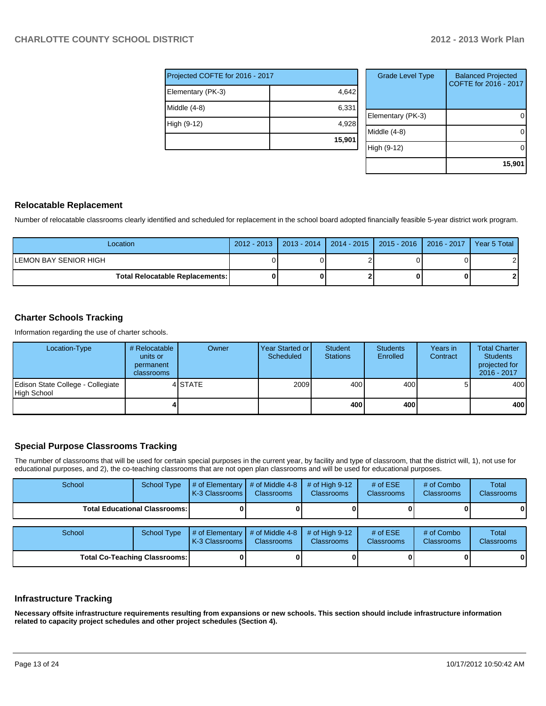| Projected COFTE for 2016 - 2017 |        |  |  |  |  |
|---------------------------------|--------|--|--|--|--|
| Elementary (PK-3)               | 4,642  |  |  |  |  |
| Middle (4-8)                    | 6,331  |  |  |  |  |
| High (9-12)                     | 4,928  |  |  |  |  |
|                                 | 15,901 |  |  |  |  |

| <b>Grade Level Type</b> | <b>Balanced Projected</b><br>COFTE for 2016 - 2017 |
|-------------------------|----------------------------------------------------|
| Elementary (PK-3)       |                                                    |
| Middle (4-8)            |                                                    |
| High (9-12)             |                                                    |
|                         | 15,901                                             |

#### **Relocatable Replacement**

Number of relocatable classrooms clearly identified and scheduled for replacement in the school board adopted financially feasible 5-year district work program.

| Location                               |  |  | 2012 - 2013   2013 - 2014   2014 - 2015   2015 - 2016   2016 - 2017 | l Year 5 Total |
|----------------------------------------|--|--|---------------------------------------------------------------------|----------------|
| LEMON BAY SENIOR HIGH                  |  |  |                                                                     |                |
| <b>Total Relocatable Replacements:</b> |  |  |                                                                     |                |

### **Charter Schools Tracking**

Information regarding the use of charter schools.

| Location-Type                                    | # Relocatable<br>units or<br>permanent<br>classrooms | Owner   | Year Started or I<br>Scheduled | Student<br><b>Stations</b> | <b>Students</b><br>Enrolled | Years in<br>Contract | <b>Total Charter</b><br><b>Students</b><br>projected for<br>2016 - 2017 |
|--------------------------------------------------|------------------------------------------------------|---------|--------------------------------|----------------------------|-----------------------------|----------------------|-------------------------------------------------------------------------|
| Edison State College - Collegiate<br>High School |                                                      | 4 STATE | 2009                           | 400                        | 400                         |                      | 400                                                                     |
|                                                  |                                                      |         |                                | 400                        | 400                         |                      | 400 l                                                                   |

#### **Special Purpose Classrooms Tracking**

The number of classrooms that will be used for certain special purposes in the current year, by facility and type of classroom, that the district will, 1), not use for educational purposes, and 2), the co-teaching classrooms that are not open plan classrooms and will be used for educational purposes.

| School                               | <b>School Type</b>                     | # of Elementary<br>K-3 Classrooms | # of Middle 4-8<br><b>Classrooms</b> | # of High $9-12$<br><b>Classrooms</b> | # of $ESE$<br>Classrooms | # of Combo<br><b>Classrooms</b> | <b>Total</b><br><b>Classrooms</b> |
|--------------------------------------|----------------------------------------|-----------------------------------|--------------------------------------|---------------------------------------|--------------------------|---------------------------------|-----------------------------------|
|                                      | <b>Total Educational Classrooms: I</b> |                                   |                                      |                                       |                          |                                 | 0                                 |
| School                               | <b>School Type</b>                     | # of Elementary<br>K-3 Classrooms | # of Middle 4-8<br><b>Classrooms</b> | # of High $9-12$<br><b>Classrooms</b> | # of $ESE$<br>Classrooms | # of Combo<br><b>Classrooms</b> | <b>Total</b><br><b>Classrooms</b> |
| <b>Total Co-Teaching Classrooms:</b> |                                        |                                   |                                      |                                       |                          |                                 | 0                                 |

#### **Infrastructure Tracking**

**Necessary offsite infrastructure requirements resulting from expansions or new schools. This section should include infrastructure information related to capacity project schedules and other project schedules (Section 4).**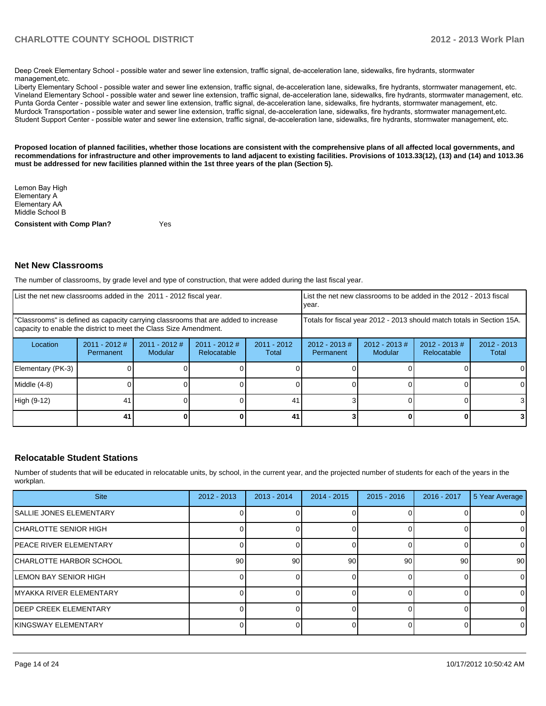Deep Creek Elementary School - possible water and sewer line extension, traffic signal, de-acceleration lane, sidewalks, fire hydrants, stormwater management etc.

Liberty Elementary School - possible water and sewer line extension, traffic signal, de-acceleration lane, sidewalks, fire hydrants, stormwater management, etc. Vineland Elementary School - possible water and sewer line extension, traffic signal, de-acceleration lane, sidewalks, fire hydrants, stormwater management, etc. Punta Gorda Center - possible water and sewer line extension, traffic signal, de-acceleration lane, sidewalks, fire hydrants, stormwater management, etc. Murdock Transportation - possible water and sewer line extension, traffic signal, de-acceleration lane, sidewalks, fire hydrants, stormwater management,etc. Student Support Center - possible water and sewer line extension, traffic signal, de-acceleration lane, sidewalks, fire hydrants, stormwater management, etc.

**Proposed location of planned facilities, whether those locations are consistent with the comprehensive plans of all affected local governments, and recommendations for infrastructure and other improvements to land adjacent to existing facilities. Provisions of 1013.33(12), (13) and (14) and 1013.36 must be addressed for new facilities planned within the 1st three years of the plan (Section 5).**

Lemon Bay High Elementary A Elementary AA Middle School B

**Consistent with Comp Plan?** Yes

#### **Net New Classrooms**

The number of classrooms, by grade level and type of construction, that were added during the last fiscal year.

| List the net new classrooms added in the 2011 - 2012 fiscal year.                                                                                       |                              |                                   |                                | Ivear.                 |                                                                        | List the net new classrooms to be added in the 2012 - 2013 fiscal |                                        |                        |
|---------------------------------------------------------------------------------------------------------------------------------------------------------|------------------------------|-----------------------------------|--------------------------------|------------------------|------------------------------------------------------------------------|-------------------------------------------------------------------|----------------------------------------|------------------------|
| "Classrooms" is defined as capacity carrying classrooms that are added to increase<br>capacity to enable the district to meet the Class Size Amendment. |                              |                                   |                                |                        | Totals for fiscal year 2012 - 2013 should match totals in Section 15A. |                                                                   |                                        |                        |
| Location                                                                                                                                                | $2011 - 2012$ #<br>Permanent | $2011 - 2012$ #<br><b>Modular</b> | $2011 - 2012$ #<br>Relocatable | $2011 - 2012$<br>Total | $2012 - 2013 \#$<br>Permanent                                          | $2012 - 2013 \#$<br><b>Modular</b>                                | $2012 - 2013 \#$<br><b>Relocatable</b> | $2012 - 2013$<br>Total |
| Elementary (PK-3)                                                                                                                                       |                              |                                   |                                |                        |                                                                        |                                                                   |                                        |                        |
| Middle (4-8)                                                                                                                                            |                              |                                   |                                |                        |                                                                        |                                                                   |                                        |                        |
| High (9-12)                                                                                                                                             | 41                           |                                   |                                | 41                     |                                                                        |                                                                   |                                        | 3                      |
|                                                                                                                                                         | 41                           |                                   |                                | 41                     |                                                                        |                                                                   |                                        |                        |

#### **Relocatable Student Stations**

Number of students that will be educated in relocatable units, by school, in the current year, and the projected number of students for each of the years in the workplan.

| <b>Site</b>              | $2012 - 2013$ | $2013 - 2014$   | $2014 - 2015$ | $2015 - 2016$ | $2016 - 2017$ | 5 Year Average |
|--------------------------|---------------|-----------------|---------------|---------------|---------------|----------------|
| ISALLIE JONES ELEMENTARY |               |                 |               |               |               | $\Omega$       |
| CHARLOTTE SENIOR HIGH    |               |                 |               |               |               | 0              |
| IPEACE RIVER ELEMENTARY  |               |                 |               |               |               |                |
| ICHARLOTTE HARBOR SCHOOL | 90            | 90 <sub>1</sub> | 90            | 90            | 90            | 90             |
| ILEMON BAY SENIOR HIGH   |               |                 |               |               |               | $\Omega$       |
| IMYAKKA RIVER ELEMENTARY |               |                 |               |               |               | $\Omega$       |
| IDEEP CREEK ELEMENTARY   |               |                 |               |               |               | $\Omega$       |
| İKINGSWAY ELEMENTARY     |               |                 |               |               |               | $\Omega$       |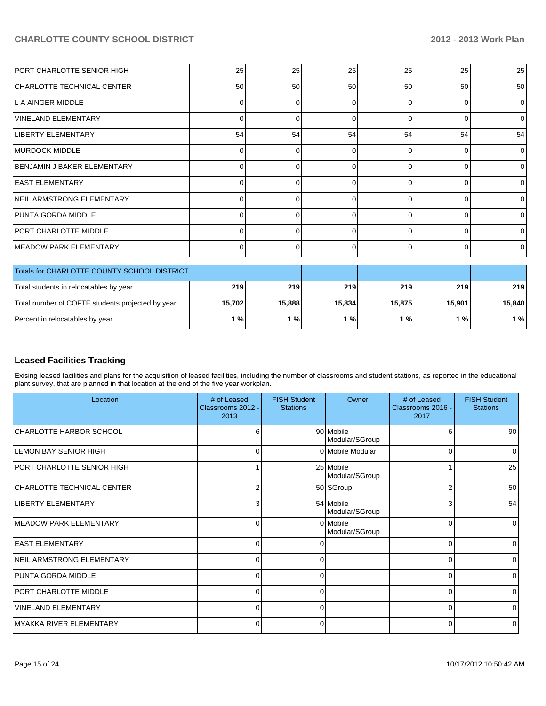| PORT CHARLOTTE SENIOR HIGH                        | 25              | 25     | 25     | 25       | 25       | 25       |
|---------------------------------------------------|-----------------|--------|--------|----------|----------|----------|
| ICHARLOTTE TECHNICAL CENTER                       | 50 <sub>1</sub> | 50     | 50     | 50       | 50       | 50       |
| L A AINGER MIDDLE                                 | 0               | በ      | ი      | C        | $\Omega$ | 0        |
| <b>VINELAND ELEMENTARY</b>                        | 0               |        | ∩      |          | $\Omega$ | 0        |
| <b>LIBERTY ELEMENTARY</b>                         | 54              | 54     | 54     | 54       | 54       | 54       |
| MURDOCK MIDDLE                                    | 0               | U      | 0      | ∩        | $\Omega$ | 0        |
| BENJAMIN J BAKER ELEMENTARY                       | 0               | በ      | ŋ      | C        | $\Omega$ | 0        |
| <b>IEAST ELEMENTARY</b>                           | 0               | U      | ი      | C        | $\Omega$ | 0        |
| NEIL ARMSTRONG ELEMENTARY                         | 0               | 0      | 0      | $\Omega$ | $\Omega$ | 0        |
| IPUNTA GORDA MIDDLE                               | 0               | U      | 0      | ∩        | $\Omega$ | $\Omega$ |
| PORT CHARLOTTE MIDDLE                             | 0               |        | n      | c        | U        | U        |
| IMEADOW PARK ELEMENTARY                           | $\Omega$        | 0      | 0      | $\Omega$ | $\Omega$ | 0        |
| Totals for CHARLOTTE COUNTY SCHOOL DISTRICT       |                 |        |        |          |          |          |
| Total students in relocatables by year.           | 219             | 219    | 219    | 219      | 219      | 219      |
| Total number of COFTE students projected by year. | 15,702          | 15,888 | 15,834 | 15,875   | 15,901   | 15,840   |
| Percent in relocatables by year.                  | 1%              | 1%     | 1%     | 1%       | 1%       | $1%$     |

## **Leased Facilities Tracking**

Exising leased facilities and plans for the acquisition of leased facilities, including the number of classrooms and student stations, as reported in the educational plant survey, that are planned in that location at the end of the five year workplan.

| Location                     | # of Leased<br>Classrooms 2012 -<br>2013 | <b>FISH Student</b><br><b>Stations</b> | Owner                       | # of Leased<br>Classrooms 2016 -<br>2017 | <b>FISH Student</b><br><b>Stations</b> |
|------------------------------|------------------------------------------|----------------------------------------|-----------------------------|------------------------------------------|----------------------------------------|
| CHARLOTTE HARBOR SCHOOL      | 6                                        |                                        | 90 Mobile<br>Modular/SGroup | 6                                        | 90                                     |
| <b>LEMON BAY SENIOR HIGH</b> | 0                                        |                                        | 0 Mobile Modular            | 0                                        |                                        |
| PORT CHARLOTTE SENIOR HIGH   |                                          |                                        | 25 Mobile<br>Modular/SGroup |                                          | 25                                     |
| CHARLOTTE TECHNICAL CENTER   |                                          |                                        | 50 SGroup                   | 2                                        | 50                                     |
| LIBERTY ELEMENTARY           | 3                                        |                                        | 54 Mobile<br>Modular/SGroup | 3                                        | 54                                     |
| MEADOW PARK ELEMENTARY       | 0                                        |                                        | 0 Mobile<br>Modular/SGroup  | ∩                                        |                                        |
| <b>EAST ELEMENTARY</b>       | U                                        |                                        |                             | ∩                                        |                                        |
| NEIL ARMSTRONG ELEMENTARY    | 0                                        | 0                                      |                             | $\Omega$                                 |                                        |
| IPUNTA GORDA MIDDLE          | U                                        | n                                      |                             | ∩                                        |                                        |
| PORT CHARLOTTE MIDDLE        | $\Omega$                                 | 0                                      |                             | $\Omega$                                 |                                        |
| lVINELAND ELEMENTARY         | $\Omega$                                 | n                                      |                             | ∩                                        |                                        |
| IMYAKKA RIVER ELEMENTARY     | 01                                       | 0                                      |                             | 0                                        |                                        |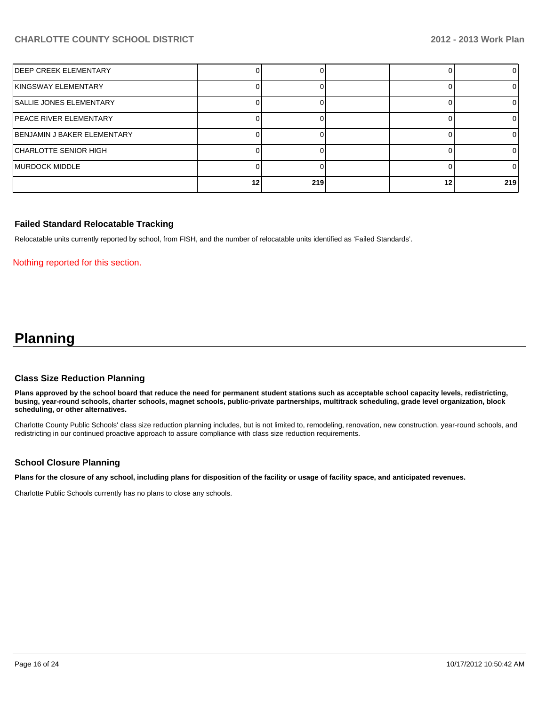| IDEEP CREEK ELEMENTARY         |    |     |    |     |
|--------------------------------|----|-----|----|-----|
| İKINGSWAY ELEMENTARY           |    |     |    |     |
| <b>SALLIE JONES ELEMENTARY</b> |    |     |    |     |
| PEACE RIVER ELEMENTARY         |    |     |    |     |
| BENJAMIN J BAKER ELEMENTARY    |    |     |    |     |
| CHARLOTTE SENIOR HIGH          |    |     |    | ΩI  |
| IMURDOCK MIDDLE                |    |     |    | ΩI  |
|                                | 12 | 219 | 12 | 219 |

#### **Failed Standard Relocatable Tracking**

Relocatable units currently reported by school, from FISH, and the number of relocatable units identified as 'Failed Standards'.

#### Nothing reported for this section.

# **Planning**

#### **Class Size Reduction Planning**

**Plans approved by the school board that reduce the need for permanent student stations such as acceptable school capacity levels, redistricting, busing, year-round schools, charter schools, magnet schools, public-private partnerships, multitrack scheduling, grade level organization, block scheduling, or other alternatives.**

Charlotte County Public Schools' class size reduction planning includes, but is not limited to, remodeling, renovation, new construction, year-round schools, and redistricting in our continued proactive approach to assure compliance with class size reduction requirements.

#### **School Closure Planning**

**Plans for the closure of any school, including plans for disposition of the facility or usage of facility space, and anticipated revenues.**

Charlotte Public Schools currently has no plans to close any schools.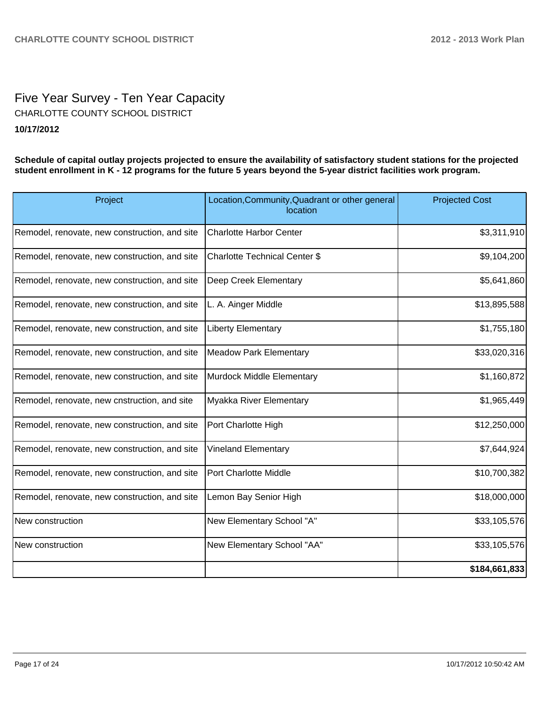## Five Year Survey - Ten Year Capacity **10/17/2012** CHARLOTTE COUNTY SCHOOL DISTRICT

**Schedule of capital outlay projects projected to ensure the availability of satisfactory student stations for the projected student enrollment in K - 12 programs for the future 5 years beyond the 5-year district facilities work program.**

| Project                                       | Location, Community, Quadrant or other general<br>location | <b>Projected Cost</b> |
|-----------------------------------------------|------------------------------------------------------------|-----------------------|
| Remodel, renovate, new construction, and site | <b>Charlotte Harbor Center</b>                             | \$3,311,910           |
| Remodel, renovate, new construction, and site | <b>Charlotte Technical Center \$</b>                       | \$9,104,200           |
| Remodel, renovate, new construction, and site | Deep Creek Elementary                                      | \$5,641,860           |
| Remodel, renovate, new construction, and site | L. A. Ainger Middle                                        | \$13,895,588          |
| Remodel, renovate, new construction, and site | <b>Liberty Elementary</b>                                  | \$1,755,180           |
| Remodel, renovate, new construction, and site | <b>Meadow Park Elementary</b>                              | \$33,020,316          |
| Remodel, renovate, new construction, and site | Murdock Middle Elementary                                  | \$1,160,872           |
| Remodel, renovate, new cnstruction, and site  | Myakka River Elementary                                    | \$1,965,449           |
| Remodel, renovate, new construction, and site | Port Charlotte High                                        | \$12,250,000          |
| Remodel, renovate, new construction, and site | Vineland Elementary                                        | \$7,644,924           |
| Remodel, renovate, new construction, and site | Port Charlotte Middle                                      | \$10,700,382          |
| Remodel, renovate, new construction, and site | Lemon Bay Senior High                                      | \$18,000,000          |
| New construction                              | New Elementary School "A"                                  | \$33,105,576          |
| New construction                              | New Elementary School "AA"                                 | \$33,105,576          |
|                                               |                                                            | \$184,661,833         |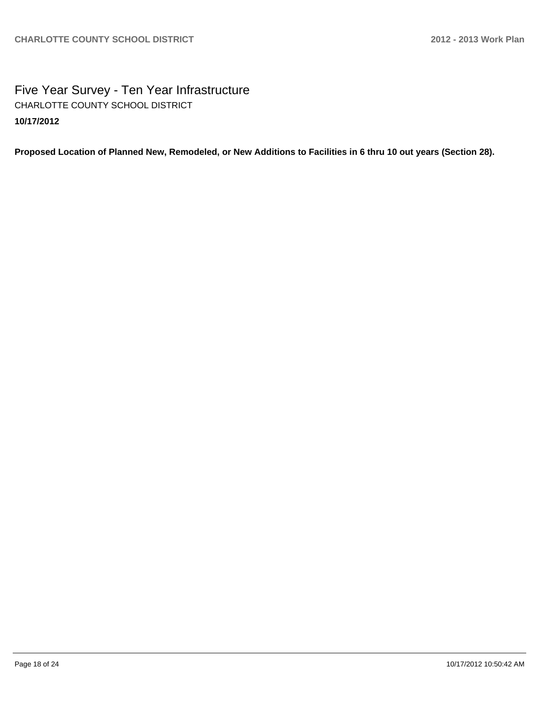Five Year Survey - Ten Year Infrastructure **10/17/2012** CHARLOTTE COUNTY SCHOOL DISTRICT

**Proposed Location of Planned New, Remodeled, or New Additions to Facilities in 6 thru 10 out years (Section 28).**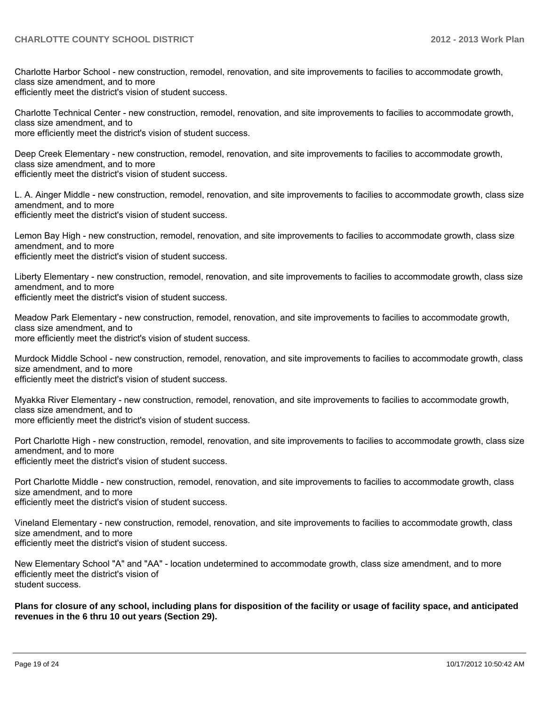Charlotte Harbor School - new construction, remodel, renovation, and site improvements to facilies to accommodate growth, class size amendment, and to more

efficiently meet the district's vision of student success.

Charlotte Technical Center - new construction, remodel, renovation, and site improvements to facilies to accommodate growth. class size amendment, and to

more efficiently meet the district's vision of student success.

Deep Creek Elementary - new construction, remodel, renovation, and site improvements to facilies to accommodate growth, class size amendment, and to more efficiently meet the district's vision of student success.

L. A. Ainger Middle - new construction, remodel, renovation, and site improvements to facilies to accommodate growth, class size amendment, and to more efficiently meet the district's vision of student success.

Lemon Bay High - new construction, remodel, renovation, and site improvements to facilies to accommodate growth, class size amendment, and to more efficiently meet the district's vision of student success.

Liberty Elementary - new construction, remodel, renovation, and site improvements to facilies to accommodate growth, class size amendment, and to more efficiently meet the district's vision of student success.

Meadow Park Elementary - new construction, remodel, renovation, and site improvements to facilies to accommodate growth, class size amendment, and to more efficiently meet the district's vision of student success.

Murdock Middle School - new construction, remodel, renovation, and site improvements to facilies to accommodate growth, class size amendment, and to more efficiently meet the district's vision of student success.

Myakka River Elementary - new construction, remodel, renovation, and site improvements to facilies to accommodate growth, class size amendment, and to more efficiently meet the district's vision of student success.

Port Charlotte High - new construction, remodel, renovation, and site improvements to facilies to accommodate growth, class size amendment, and to more efficiently meet the district's vision of student success.

Port Charlotte Middle - new construction, remodel, renovation, and site improvements to facilies to accommodate growth, class size amendment, and to more

efficiently meet the district's vision of student success.

Vineland Elementary - new construction, remodel, renovation, and site improvements to facilies to accommodate growth, class size amendment, and to more efficiently meet the district's vision of student success.

New Elementary School "A" and "AA" - location undetermined to accommodate growth, class size amendment, and to more efficiently meet the district's vision of student success.

**Plans for closure of any school, including plans for disposition of the facility or usage of facility space, and anticipated revenues in the 6 thru 10 out years (Section 29).**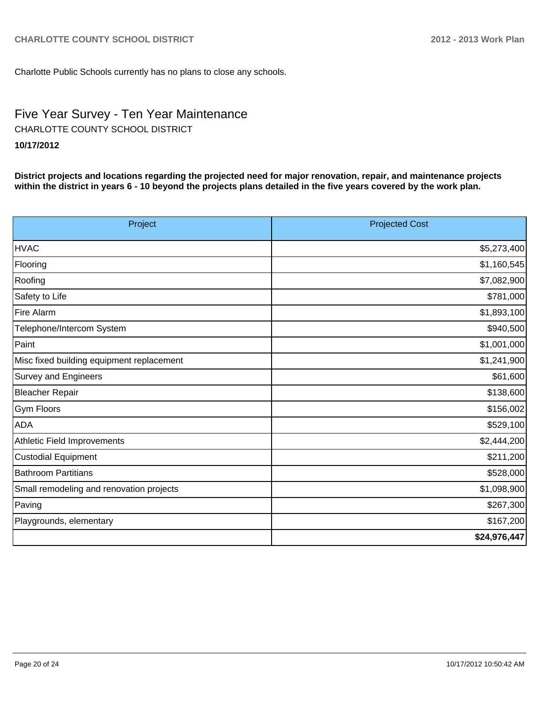Charlotte Public Schools currently has no plans to close any schools.

# Five Year Survey - Ten Year Maintenance

CHARLOTTE COUNTY SCHOOL DISTRICT

## **10/17/2012**

**District projects and locations regarding the projected need for major renovation, repair, and maintenance projects within the district in years 6 - 10 beyond the projects plans detailed in the five years covered by the work plan.**

| Project                                   | <b>Projected Cost</b> |
|-------------------------------------------|-----------------------|
| <b>HVAC</b>                               | \$5,273,400           |
| Flooring                                  | \$1,160,545           |
| Roofing                                   | \$7,082,900           |
| Safety to Life                            | \$781,000             |
| <b>Fire Alarm</b>                         | \$1,893,100           |
| Telephone/Intercom System                 | \$940,500             |
| Paint                                     | \$1,001,000           |
| Misc fixed building equipment replacement | \$1,241,900           |
| Survey and Engineers                      | \$61,600              |
| <b>Bleacher Repair</b>                    | \$138,600             |
| Gym Floors                                | \$156,002             |
| <b>ADA</b>                                | \$529,100             |
| Athletic Field Improvements               | \$2,444,200           |
| <b>Custodial Equipment</b>                | \$211,200             |
| <b>Bathroom Partitians</b>                | \$528,000             |
| Small remodeling and renovation projects  | \$1,098,900           |
| Paving                                    | \$267,300             |
| Playgrounds, elementary                   | \$167,200             |
|                                           | \$24,976,447          |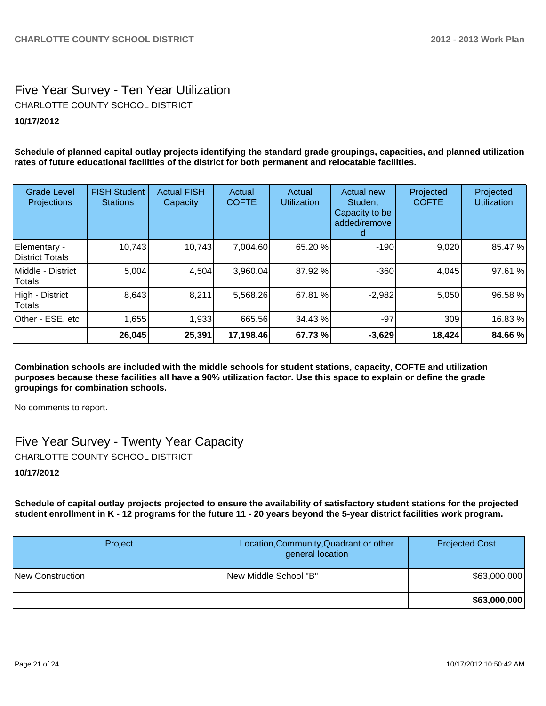## Five Year Survey - Ten Year Utilization **10/17/2012** CHARLOTTE COUNTY SCHOOL DISTRICT

**Schedule of planned capital outlay projects identifying the standard grade groupings, capacities, and planned utilization rates of future educational facilities of the district for both permanent and relocatable facilities.**

| <b>Grade Level</b><br>Projections | <b>FISH Student</b><br><b>Stations</b> | <b>Actual FISH</b><br>Capacity | Actual<br><b>COFTE</b> | Actual<br><b>Utilization</b> | <b>Actual new</b><br><b>Student</b><br>Capacity to be<br>added/remove | Projected<br><b>COFTE</b> | Projected<br><b>Utilization</b> |
|-----------------------------------|----------------------------------------|--------------------------------|------------------------|------------------------------|-----------------------------------------------------------------------|---------------------------|---------------------------------|
| Elementary -<br>District Totals   | 10,743                                 | 10,743                         | 7,004.60               | 65.20 %                      | $-190$                                                                | 9,020                     | 85.47 %                         |
| IMiddle - District<br>Totals      | 5,004                                  | 4,504                          | 3,960.04               | 87.92 %                      | $-360$                                                                | 4,045                     | 97.61 %                         |
| High - District<br>Totals         | 8,643                                  | 8,211                          | 5,568.26               | 67.81 %                      | $-2,982$                                                              | 5,050                     | 96.58 %                         |
| Other - ESE, etc                  | 1,655                                  | 1,933                          | 665.56                 | 34.43 %                      | $-97$                                                                 | 309                       | 16.83 %                         |
|                                   | 26,045                                 | 25,391                         | 17,198.46              | 67.73 %                      | $-3,629$                                                              | 18,424                    | 84.66%                          |

**Combination schools are included with the middle schools for student stations, capacity, COFTE and utilization purposes because these facilities all have a 90% utilization factor. Use this space to explain or define the grade groupings for combination schools.**

No comments to report.

Five Year Survey - Twenty Year Capacity CHARLOTTE COUNTY SCHOOL DISTRICT

## **10/17/2012**

**Schedule of capital outlay projects projected to ensure the availability of satisfactory student stations for the projected student enrollment in K - 12 programs for the future 11 - 20 years beyond the 5-year district facilities work program.**

| Project          | Location, Community, Quadrant or other<br>general location | <b>Projected Cost</b> |
|------------------|------------------------------------------------------------|-----------------------|
| New Construction | <b>INew Middle School "B"</b>                              | \$63,000,000          |
|                  |                                                            | \$63,000,000          |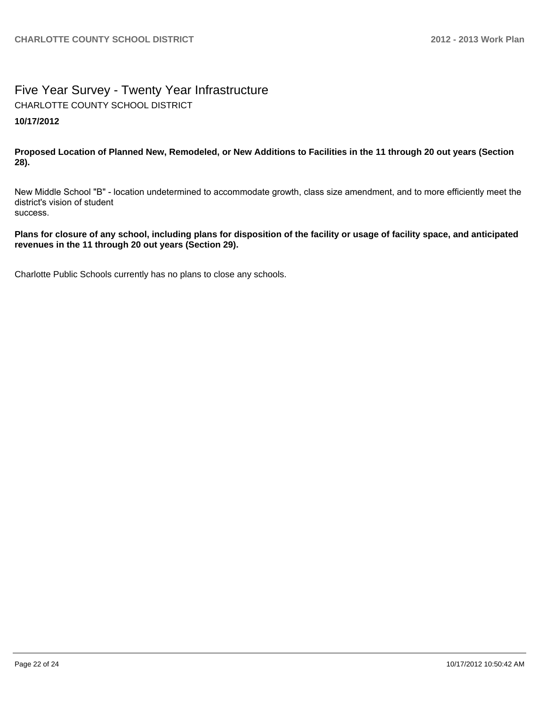## Five Year Survey - Twenty Year Infrastructure **10/17/2012** CHARLOTTE COUNTY SCHOOL DISTRICT

**Proposed Location of Planned New, Remodeled, or New Additions to Facilities in the 11 through 20 out years (Section 28).**

New Middle School "B" - location undetermined to accommodate growth, class size amendment, and to more efficiently meet the district's vision of student success.

**Plans for closure of any school, including plans for disposition of the facility or usage of facility space, and anticipated revenues in the 11 through 20 out years (Section 29).**

Charlotte Public Schools currently has no plans to close any schools.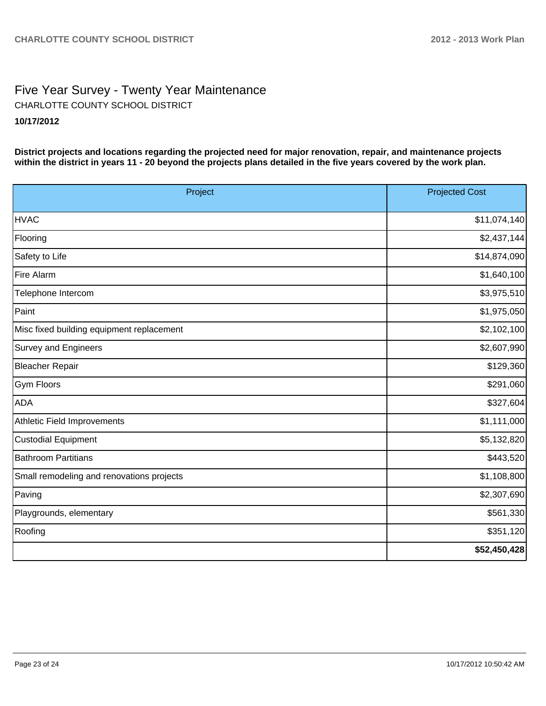## Five Year Survey - Twenty Year Maintenance **10/17/2012** CHARLOTTE COUNTY SCHOOL DISTRICT

**District projects and locations regarding the projected need for major renovation, repair, and maintenance projects within the district in years 11 - 20 beyond the projects plans detailed in the five years covered by the work plan.**

| Project                                   | <b>Projected Cost</b> |
|-------------------------------------------|-----------------------|
| <b>HVAC</b>                               | \$11,074,140          |
| Flooring                                  | \$2,437,144           |
| Safety to Life                            | \$14,874,090          |
| Fire Alarm                                | \$1,640,100           |
| Telephone Intercom                        | \$3,975,510           |
| Paint                                     | \$1,975,050           |
| Misc fixed building equipment replacement | \$2,102,100           |
| <b>Survey and Engineers</b>               | \$2,607,990           |
| <b>Bleacher Repair</b>                    | \$129,360             |
| <b>Gym Floors</b>                         | \$291,060             |
| <b>ADA</b>                                | \$327,604             |
| Athletic Field Improvements               | \$1,111,000           |
| <b>Custodial Equipment</b>                | \$5,132,820           |
| <b>Bathroom Partitians</b>                | \$443,520             |
| Small remodeling and renovations projects | \$1,108,800           |
| Paving                                    | \$2,307,690           |
| Playgrounds, elementary                   | \$561,330             |
| Roofing                                   | \$351,120             |
|                                           | \$52,450,428          |